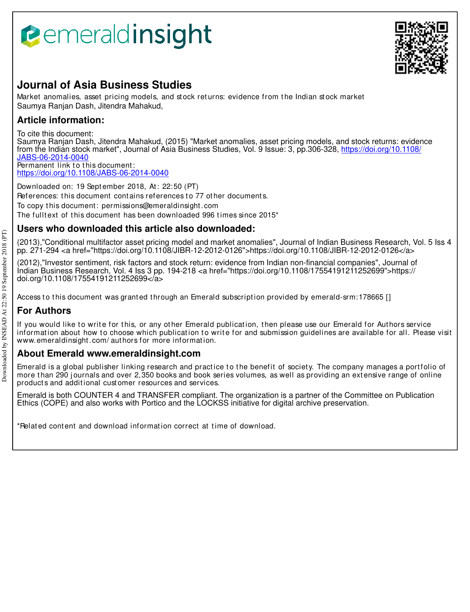# **B**emeraldinsight



## **Journal of Asia Business Studies**

Market anomalies, asset pricing models, and stock returns: evidence from the Indian stock market Saumya Ranjan Dash, Jitendra Mahakud,

## **Article information:**

To cite this document:

Saumya Ranjan Dash, Jitendra Mahakud, (2015) "Market anomalies, asset pricing models, and stock returns: evidence from the Indian stock market", Journal of Asia Business Studies, Vol. 9 Issue: 3, pp.306-328, https://doi.org/10.1108/ JABS-06-2014-0040 Permanent link to this document:

https://doi.org/10.1108/JABS-06-2014-0040

Downloaded on: 19 Sept ember 2018, At : 22:50 (PT) References: this document contains references to 77 other documents. To copy t his document : permissions@emeraldinsight .com The fulltext of this document has been downloaded 996 times since  $2015$ \*

## **Users who downloaded this article also downloaded:**

(2013),"Conditional multifactor asset pricing model and market anomalies", Journal of Indian Business Research, Vol. 5 Iss 4 pp. 271-294 <a href="https://doi.org/10.1108/JIBR-12-2012-0126">https://doi.org/10.1108/JIBR-12-2012-0126</a>

(2012),"Investor sentiment, risk factors and stock return: evidence from Indian non-financial companies", Journal of Indian Business Research, Vol. 4 Iss 3 pp. 194-218 <a href="https://doi.org/10.1108/17554191211252699">https:// doi.org/10.1108/17554191211252699</a>

Access to this document was granted through an Emerald subscription provided by emerald-srm: 178665 []

## **For Authors**

If you would like to write for this, or any other Emerald publication, then please use our Emerald for Authors service information about how to choose which publication to write for and submission guidelines are available for all. Please visit www.emeraldinsight .com/ aut hors for more informat ion.

## **About Emerald www.emeraldinsight.com**

Emerald is a global publisher linking research and practice to the benefit of society. The company manages a portfolio of more than 290 journals and over 2,350 books and book series volumes, as well as providing an extensive range of online product s and addit ional cust omer resources and services.

Emerald is both COUNTER 4 and TRANSFER compliant. The organization is a partner of the Committee on Publication Ethics (COPE) and also works with Portico and the LOCKSS initiative for digital archive preservation.

\*Relat ed cont ent and download informat ion correct at t ime of download.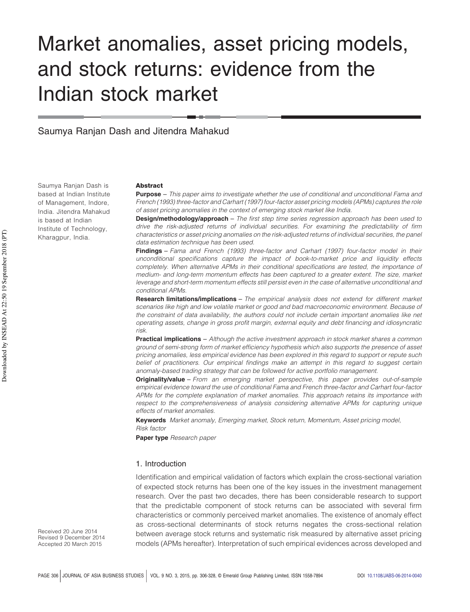## Market anomalies, asset pricing models, and stock returns: evidence from the Indian stock market

Saumya Ranjan Dash and Jitendra Mahakud

Saumya Ranjan Dash is based at Indian Institute of Management, Indore, India. Jitendra Mahakud is based at Indian Institute of Technology, Kharagpur, India.

#### Abstract

**Purpose** - This paper aims to investigate whether the use of conditional and unconditional Fama and French (1993) three-factor and Carhart (1997) four-factor asset pricing models (APMs) captures the role of asset pricing anomalies in the context of emerging stock market like India.

**Design/methodology/approach** - The first step time series regression approach has been used to drive the risk-adjusted returns of individual securities. For examining the predictability of firm characteristics or asset pricing anomalies on the risk-adjusted returns of individual securities, the panel *data estimation technique has been used.*

Findings - Fama and French (1993) three-factor and Carhart (1997) four-factor model in their unconditional specifications capture the impact of book-to-market price and liquidity effects completely. When alternative APMs in their conditional specifications are tested, the importance of medium- and long-term momentum effects has been captured to a greater extent. The size, market leverage and short-term momentum effects still persist even in the case of alternative unconditional and *conditional APMs.*

**Research limitations/implications** – *The empirical analysis does not extend for different market* scenarios like high and low volatile market or good and bad macroeconomic environment. Because of the constraint of data availability, the authors could not include certain important anomalies like net operating assets, change in gross profit margin, external equity and debt financing and idiosyncratic *risk.*

Practical implications - Although the active investment approach in stock market shares a common ground of semi-strong form of market efficiency hypothesis which also supports the presence of asset pricing anomalies, less empirical evidence has been explored in this regard to support or repute such belief of practitioners. Our empirical findings make an attempt in this regard to suggest certain anomaly-based trading strategy that can be followed for active portfolio management.

**Originality/value** – *From an emerging market perspective, this paper provides out-of-sample* empirical evidence toward the use of conditional Fama and French three-factor and Carhart four-factor APMs for the complete explanation of market anomalies. This approach retains its importance with respect to the comprehensiveness of analysis considering alternative APMs for capturing unique *effects of market anomalies.*

Keywords Market anomaly, Emerging market, Stock return, Momentum, Asset pricing model, *Risk factor*

**Paper type** *Research paper*

#### 1. Introduction

Identification and empirical validation of factors which explain the cross-sectional variation of expected stock returns has been one of the key issues in the investment management research. Over the past two decades, there has been considerable research to support that the predictable component of stock returns can be associated with several firm characteristics or commonly perceived market anomalies. The existence of anomaly effect as cross-sectional determinants of stock returns negates the cross-sectional relation between average stock returns and systematic risk measured by alternative asset pricing models (APMs hereafter). Interpretation of such empirical evidences across developed and

Received 20 June 2014 Revised 9 December 2014 Accepted 20 March 2015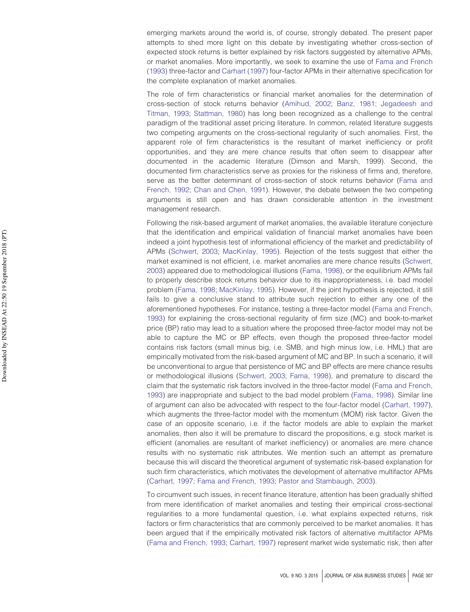emerging markets around the world is, of course, strongly debated. The present paper attempts to shed more light on this debate by investigating whether cross-section of expected stock returns is better explained by risk factors suggested by alternative APMs, or market anomalies. More importantly, we seek to examine the use of Fama and French (1993) three-factor and Carhart (1997) four-factor APMs in their alternative specification for the complete explanation of market anomalies.

The role of firm characteristics or financial market anomalies for the determination of cross-section of stock returns behavior (Amihud, 2002; Banz, 1981; Jegadeesh and Titman, 1993; Stattman, 1980) has long been recognized as a challenge to the central paradigm of the traditional asset pricing literature. In common, related literature suggests two competing arguments on the cross-sectional regularity of such anomalies. First, the apparent role of firm characteristics is the resultant of market inefficiency or profit opportunities, and they are mere chance results that often seem to disappear after documented in the academic literature (Dimson and Marsh, 1999). Second, the documented firm characteristics serve as proxies for the riskiness of firms and, therefore, serve as the better determinant of cross-section of stock returns behavior (Fama and French, 1992; Chan and Chen, 1991). However, the debate between the two competing arguments is still open and has drawn considerable attention in the investment management research.

Following the risk-based argument of market anomalies, the available literature conjecture that the identification and empirical validation of financial market anomalies have been indeed a joint hypothesis test of informational efficiency of the market and predictability of APMs (Schwert, 2003; MacKinlay, 1995). Rejection of the tests suggest that either the market examined is not efficient, i.e. market anomalies are mere chance results (Schwert, 2003) appeared due to methodological illusions (Fama, 1998), or the equilibrium APMs fail to properly describe stock returns behavior due to its inappropriateness, i.e. bad model problem (Fama, 1998; MacKinlay, 1995). However, if the joint hypothesis is rejected, it still fails to give a conclusive stand to attribute such rejection to either any one of the aforementioned hypotheses. For instance, testing a three-factor model (Fama and French, 1993) for explaining the cross-sectional regularity of firm size (MC) and book-to-market price (BP) ratio may lead to a situation where the proposed three-factor model may not be able to capture the MC or BP effects, even though the proposed three-factor model contains risk factors (small minus big, i.e. SMB, and high minus low, i.e. HML) that are empirically motivated from the risk-based argument of MC and BP. In such a scenario, it will be unconventional to argue that persistence of MC and BP effects are mere chance results or methodological illusions (Schwert, 2003; Fama, 1998), and premature to discard the claim that the systematic risk factors involved in the three-factor model (Fama and French, 1993) are inappropriate and subject to the bad model problem (Fama, 1998). Similar line of argument can also be advocated with respect to the four-factor model (Carhart, 1997), which augments the three-factor model with the momentum (MOM) risk factor. Given the case of an opposite scenario, i.e. if the factor models are able to explain the market anomalies, then also it will be premature to discard the propositions, e.g. stock market is efficient (anomalies are resultant of market inefficiency) or anomalies are mere chance results with no systematic risk attributes. We mention such an attempt as premature because this will discard the theoretical argument of systematic risk-based explanation for such firm characteristics, which motivates the development of alternative multifactor APMs (Carhart, 1997; Fama and French, 1993; Pastor and Stambaugh, 2003).

To circumvent such issues, in recent finance literature, attention has been gradually shifted from mere identification of market anomalies and testing their empirical cross-sectional regularities to a more fundamental question, i.e. what explains expected returns, risk factors or firm characteristics that are commonly perceived to be market anomalies. It has been argued that if the empirically motivated risk factors of alternative multifactor APMs (Fama and French, 1993; Carhart, 1997) represent market wide systematic risk, then after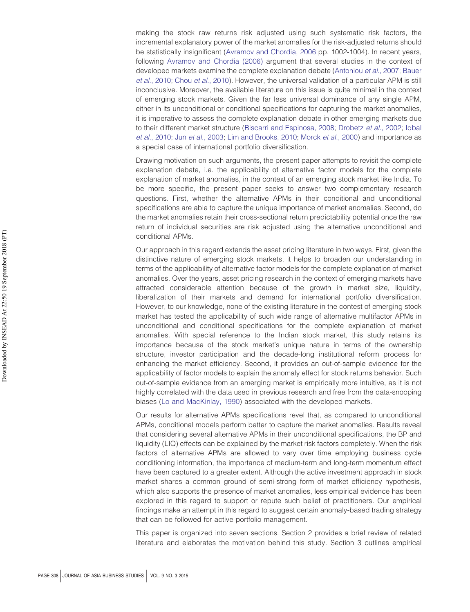making the stock raw returns risk adjusted using such systematic risk factors, the incremental explanatory power of the market anomalies for the risk-adjusted returns should be statistically insignificant (Avramov and Chordia, 2006 pp. 1002-1004). In recent years, following Avramov and Chordia (2006) argument that several studies in the context of developed markets examine the complete explanation debate (Antoniou *et al.*, 2007; Bauer *et al.*, 2010; Chou *et al.*, 2010). However, the universal validation of a particular APM is still inconclusive. Moreover, the available literature on this issue is quite minimal in the context of emerging stock markets. Given the far less universal dominance of any single APM, either in its unconditional or conditional specifications for capturing the market anomalies, it is imperative to assess the complete explanation debate in other emerging markets due to their different market structure (Biscarri and Espinosa, 2008; Drobetz *et al.*, 2002; Iqbal *et al.*, 2010; Jun *et al.*, 2003; Lim and Brooks, 2010; Morck *et al.*, 2000) and importance as a special case of international portfolio diversification.

Drawing motivation on such arguments, the present paper attempts to revisit the complete explanation debate, i.e. the applicability of alternative factor models for the complete explanation of market anomalies, in the context of an emerging stock market like India. To be more specific, the present paper seeks to answer two complementary research questions. First, whether the alternative APMs in their conditional and unconditional specifications are able to capture the unique importance of market anomalies. Second, do the market anomalies retain their cross-sectional return predictability potential once the raw return of individual securities are risk adjusted using the alternative unconditional and conditional APMs.

Our approach in this regard extends the asset pricing literature in two ways. First, given the distinctive nature of emerging stock markets, it helps to broaden our understanding in terms of the applicability of alternative factor models for the complete explanation of market anomalies. Over the years, asset pricing research in the context of emerging markets have attracted considerable attention because of the growth in market size, liquidity, liberalization of their markets and demand for international portfolio diversification. However, to our knowledge, none of the existing literature in the contest of emerging stock market has tested the applicability of such wide range of alternative multifactor APMs in unconditional and conditional specifications for the complete explanation of market anomalies. With special reference to the Indian stock market, this study retains its importance because of the stock market's unique nature in terms of the ownership structure, investor participation and the decade-long institutional reform process for enhancing the market efficiency. Second, it provides an out-of-sample evidence for the applicability of factor models to explain the anomaly effect for stock returns behavior. Such out-of-sample evidence from an emerging market is empirically more intuitive, as it is not highly correlated with the data used in previous research and free from the data-snooping biases (Lo and MacKinlay, 1990) associated with the developed markets.

Our results for alternative APMs specifications revel that, as compared to unconditional APMs, conditional models perform better to capture the market anomalies. Results reveal that considering several alternative APMs in their unconditional specifications, the BP and liquidity (LIQ) effects can be explained by the market risk factors completely. When the risk factors of alternative APMs are allowed to vary over time employing business cycle conditioning information, the importance of medium-term and long-term momentum effect have been captured to a greater extent. Although the active investment approach in stock market shares a common ground of semi-strong form of market efficiency hypothesis, which also supports the presence of market anomalies, less empirical evidence has been explored in this regard to support or repute such belief of practitioners. Our empirical findings make an attempt in this regard to suggest certain anomaly-based trading strategy that can be followed for active portfolio management.

This paper is organized into seven sections. Section 2 provides a brief review of related literature and elaborates the motivation behind this study. Section 3 outlines empirical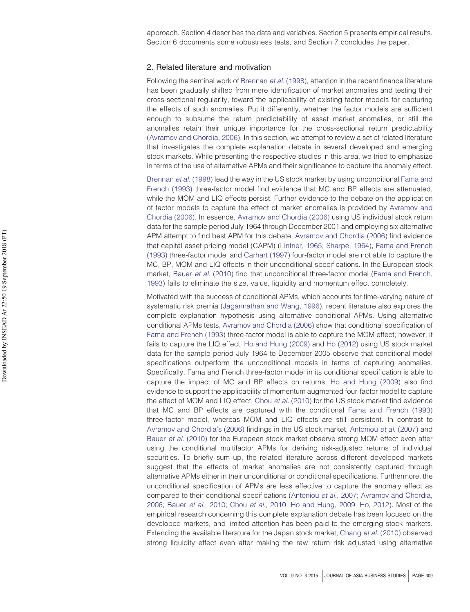approach. Section 4 describes the data and variables. Section 5 presents empirical results. Section 6 documents some robustness tests, and Section 7 concludes the paper.

#### 2. Related literature and motivation

Following the seminal work of Brennan *et al.* (1998), attention in the recent finance literature has been gradually shifted from mere identification of market anomalies and testing their cross-sectional regularity, toward the applicability of existing factor models for capturing the effects of such anomalies. Put it differently, whether the factor models are sufficient enough to subsume the return predictability of asset market anomalies, or still the anomalies retain their unique importance for the cross-sectional return predictability (Avramov and Chordia, 2006). In this section, we attempt to review a set of related literature that investigates the complete explanation debate in several developed and emerging stock markets. While presenting the respective studies in this area, we tried to emphasize in terms of the use of alternative APMs and their significance to capture the anomaly effect.

Brennan *et al.* (1998) lead the way in the US stock market by using unconditional Fama and French (1993) three-factor model find evidence that MC and BP effects are attenuated, while the MOM and LIQ effects persist. Further evidence to the debate on the application of factor models to capture the effect of market anomalies is provided by Avramov and Chordia (2006). In essence, Avramov and Chordia (2006) using US individual stock return data for the sample period July 1964 through December 2001 and employing six alternative APM attempt to find best APM for this debate. Avramov and Chordia (2006) find evidence that capital asset pricing model (CAPM) (Lintner, 1965; Sharpe, 1964), Fama and French (1993) three-factor model and Carhart (1997) four-factor model are not able to capture the MC, BP, MOM and LIQ effects in their unconditional specifications. In the European stock market, Bauer *et al.* (2010) find that unconditional three-factor model (Fama and French, 1993) fails to eliminate the size, value, liquidity and momentum effect completely.

Motivated with the success of conditional APMs, which accounts for time-varying nature of systematic risk premia (Jagannathan and Wang, 1996), recent literature also explores the complete explanation hypothesis using alternative conditional APMs. Using alternative conditional APMs tests, Avramov and Chordia (2006) show that conditional specification of Fama and French (1993) three-factor model is able to capture the MOM effect; however, it fails to capture the LIQ effect. Ho and Hung (2009) and Ho (2012) using US stock market data for the sample period July 1964 to December 2005 observe that conditional model specifications outperform the unconditional models in terms of capturing anomalies. Specifically, Fama and French three-factor model in its conditional specification is able to capture the impact of MC and BP effects on returns. Ho and Hung (2009) also find evidence to support the applicability of momentum augmented four-factor model to capture the effect of MOM and LIQ effect. Chou *et al.* (2010) for the US stock market find evidence that MC and BP effects are captured with the conditional Fama and French (1993) three-factor model, whereas MOM and LIQ effects are still persistent. In contrast to Avramov and Chordia's (2006) findings in the US stock market, Antoniou *et al.* (2007) and Bauer *et al.* (2010) for the European stock market observe strong MOM effect even after using the conditional multifactor APMs for deriving risk-adjusted returns of individual securities. To briefly sum up, the related literature across different developed markets suggest that the effects of market anomalies are not consistently captured through alternative APMs either in their unconditional or conditional specifications. Furthermore, the unconditional specification of APMs are less effective to capture the anomaly effect as compared to their conditional specifications (Antoniou *et al.*, 2007; Avramov and Chordia, 2006; Bauer *et al.*, 2010; Chou *et al.*, 2010; Ho and Hung, 2009; Ho, 2012). Most of the empirical research concerning this complete explanation debate has been focused on the developed markets, and limited attention has been paid to the emerging stock markets. Extending the available literature for the Japan stock market, Chang *et al.* (2010) observed strong liquidity effect even after making the raw return risk adjusted using alternative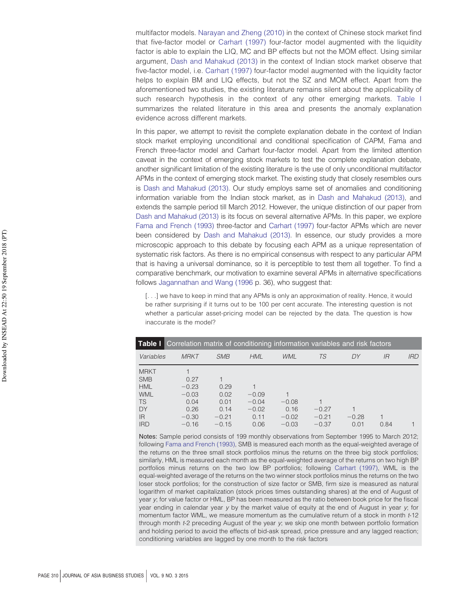multifactor models. Narayan and Zheng (2010) in the context of Chinese stock market find that five-factor model or Carhart (1997) four-factor model augmented with the liquidity factor is able to explain the LIQ, MC and BP effects but not the MOM effect. Using similar argument, Dash and Mahakud (2013) in the context of Indian stock market observe that five-factor model, i.e. Carhart (1997) four-factor model augmented with the liquidity factor helps to explain BM and LIQ effects, but not the SZ and MOM effect. Apart from the aforementioned two studies, the existing literature remains silent about the applicability of such research hypothesis in the context of any other emerging markets. Table I summarizes the related literature in this area and presents the anomaly explanation evidence across different markets.

In this paper, we attempt to revisit the complete explanation debate in the context of Indian stock market employing unconditional and conditional specification of CAPM, Fama and French three-factor model and Carhart four-factor model. Apart from the limited attention caveat in the context of emerging stock markets to test the complete explanation debate, another significant limitation of the existing literature is the use of only unconditional multifactor APMs in the context of emerging stock market. The existing study that closely resembles ours is Dash and Mahakud (2013). Our study employs same set of anomalies and conditioning information variable from the Indian stock market, as in Dash and Mahakud (2013), and extends the sample period till March 2012. However, the unique distinction of our paper from Dash and Mahakud (2013) is its focus on several alternative APMs. In this paper, we explore Fama and French (1993) three-factor and Carhart (1997) four-factor APMs which are never been considered by Dash and Mahakud (2013). In essence, our study provides a more microscopic approach to this debate by focusing each APM as a unique representation of systematic risk factors. As there is no empirical consensus with respect to any particular APM that is having a universal dominance, so it is perceptible to test them all together. To find a comparative benchmark, our motivation to examine several APMs in alternative specifications follows Jagannathan and Wang (1996 p. 36), who suggest that:

[. . .] we have to keep in mind that any APMs is only an approximation of reality. Hence, it would be rather surprising if it turns out to be 100 per cent accurate. The interesting question is not whether a particular asset-pricing model can be rejected by the data. The question is how inaccurate is the model?

|             | <b>Table I</b> Correlation matrix of conditioning information variables and risk factors |         |            |            |         |         |                  |            |
|-------------|------------------------------------------------------------------------------------------|---------|------------|------------|---------|---------|------------------|------------|
| Variables   | <b>MRKT</b>                                                                              | SMB     | <b>HML</b> | <b>WML</b> | TS      | DУ      | $_{\textit{IF}}$ | <b>IRD</b> |
| <b>MRKT</b> |                                                                                          |         |            |            |         |         |                  |            |
| <b>SMB</b>  | 0.27                                                                                     |         |            |            |         |         |                  |            |
| <b>HML</b>  | $-0.23$                                                                                  | 0.29    |            |            |         |         |                  |            |
| <b>WML</b>  | $-0.03$                                                                                  | 0.02    | $-0.09$    |            |         |         |                  |            |
| <b>TS</b>   | 0.04                                                                                     | 0.01    | $-0.04$    | $-0.08$    |         |         |                  |            |
| DY          | 0.26                                                                                     | 0.14    | $-0.02$    | 0.16       | $-0.27$ |         |                  |            |
| IR.         | $-0.30$                                                                                  | $-0.21$ | 0.11       | $-0.02$    | $-0.21$ | $-0.28$ |                  |            |
| <b>IRD</b>  | $-0.16$                                                                                  | $-0.15$ | 0.06       | $-0.03$    | $-0.37$ | 0.01    | 0.84             |            |

Notes: Sample period consists of 199 monthly observations from September 1995 to March 2012; following Fama and French (1993), SMB is measured each month as the equal-weighted average of the returns on the three small stock portfolios minus the returns on the three big stock portfolios; similarly, HML is measured each month as the equal-weighted average of the returns on two high BP portfolios minus returns on the two low BP portfolios; following Carhart (1997), WML is the equal-weighted average of the returns on the two winner stock portfolios minus the returns on the two loser stock portfolios; for the construction of size factor or SMB, firm size is measured as natural logarithm of market capitalization (stock prices times outstanding shares) at the end of August of year *y*; for value factor or HML, BP has been measured as the ratio between book price for the fiscal year ending in calendar year *y* by the market value of equity at the end of August in year *y*; for momentum factor WML, we measure momentum as the cumulative return of a stock in month *<sup>t</sup>*-12 through month *<sup>t</sup>*-2 preceding August of the year *y*; we skip one month between portfolio formation and holding period to avoid the effects of bid-ask spread, price pressure and any lagged reaction; conditioning variables are lagged by one month to the risk factors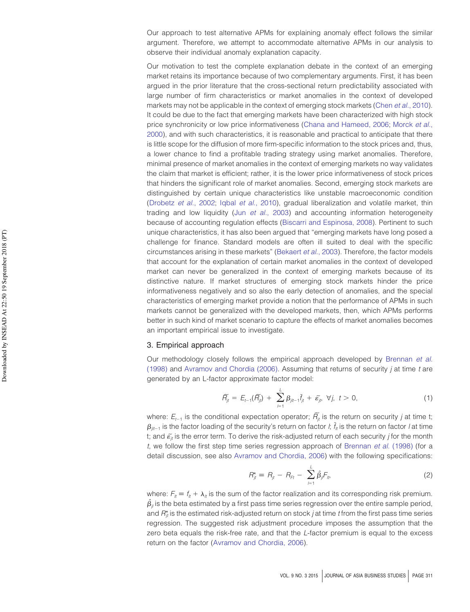Our approach to test alternative APMs for explaining anomaly effect follows the similar argument. Therefore, we attempt to accommodate alternative APMs in our analysis to observe their individual anomaly explanation capacity.

Our motivation to test the complete explanation debate in the context of an emerging market retains its importance because of two complementary arguments. First, it has been argued in the prior literature that the cross-sectional return predictability associated with large number of firm characteristics or market anomalies in the context of developed markets may not be applicable in the context of emerging stock markets (Chen *et al.*, 2010). It could be due to the fact that emerging markets have been characterized with high stock price synchronicity or low price informativeness (Chana and Hameed, 2006; Morck *et al.*, 2000), and with such characteristics, it is reasonable and practical to anticipate that there is little scope for the diffusion of more firm-specific information to the stock prices and, thus, a lower chance to find a profitable trading strategy using market anomalies. Therefore, minimal presence of market anomalies in the context of emerging markets no way validates the claim that market is efficient; rather, it is the lower price informativeness of stock prices that hinders the significant role of market anomalies. Second, emerging stock markets are distinguished by certain unique characteristics like unstable macroeconomic condition (Drobetz *et al.*, 2002; Iqbal *et al.*, 2010), gradual liberalization and volatile market, thin trading and low liquidity (Jun *et al.*, 2003) and accounting information heterogeneity because of accounting regulation effects (Biscarri and Espinosa, 2008). Pertinent to such unique characteristics, it has also been argued that "emerging markets have long posed a challenge for finance. Standard models are often ill suited to deal with the specific circumstances arising in these markets" (Bekaert *et al.*, 2003). Therefore, the factor models that account for the explanation of certain market anomalies in the context of developed market can never be generalized in the context of emerging markets because of its distinctive nature. If market structures of emerging stock markets hinder the price informativeness negatively and so also the early detection of anomalies, and the special characteristics of emerging market provide a notion that the performance of APMs in such markets cannot be generalized with the developed markets, then, which APMs performs better in such kind of market scenario to capture the effects of market anomalies becomes an important empirical issue to investigate.

#### 3. Empirical approach

Our methodology closely follows the empirical approach developed by Brennan *et al.* (1998) and Avramov and Chordia (2006). Assuming that returns of security *j* at time *<sup>t</sup>* are generated by an L-factor approximate factor model:

$$
\widetilde{H}_{jt} = E_{t-1}(\widetilde{H}_{jt}) + \sum_{l=1}^{L} \beta_{jlt-1} \widetilde{f}_{jt} + \widetilde{\varepsilon}_{jt}, \ \forall j, \ t > 0,
$$
\n(1)

where:  $E_{t-1}$  is the conditional expectation operator;  $\widetilde{R_{jt}}$  is the return on security *j* at time t;  $\beta_{j|t-1}$  is the factor loading of the security's return on factor *l*;  $\tilde{t}_t$  is the return on factor *l* at time t; and *˜jt* is the error term. To derive the risk-adjusted return of each security *j* for the month *<sup>t</sup>*, we follow the first step time series regression approach of Brennan *et al.* (1998) (for a detail discussion, see also Avramov and Chordia, 2006) with the following specifications:

$$
R_{jt}^* = R_{jt} - R_{Ft} - \sum_{l=1}^{L} \hat{\beta}_{jl} F_{lt},
$$
 (2)

where:  $F_{lt} \equiv f_{lt} + \lambda_{lt}$  is the sum of the factor realization and its corresponding risk premium.  $\hat{\beta}_{\scriptscriptstyle\beta}$  is the beta estimated by a first pass time series regression over the entire sample period, and *<sup>R</sup>*\**jt* is the estimated risk-adjusted return on stock *j* at time *<sup>t</sup>* from the first pass time series regression. The suggested risk adjustment procedure imposes the assumption that the zero beta equals the risk-free rate, and that the *L*-factor premium is equal to the excess return on the factor (Avramov and Chordia, 2006).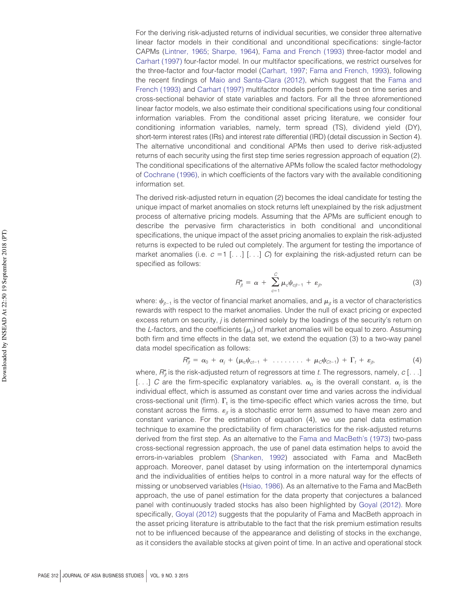For the deriving risk-adjusted returns of individual securities, we consider three alternative linear factor models in their conditional and unconditional specifications: single-factor CAPMs (Lintner, 1965; Sharpe, 1964), Fama and French (1993) three-factor model and Carhart (1997) four-factor model. In our multifactor specifications, we restrict ourselves for the three-factor and four-factor model (Carhart, 1997; Fama and French, 1993), following the recent findings of Maio and Santa-Clara (2012), which suggest that the Fama and French (1993) and Carhart (1997) multifactor models perform the best on time series and cross-sectional behavior of state variables and factors. For all the three aforementioned linear factor models, we also estimate their conditional specifications using four conditional information variables. From the conditional asset pricing literature, we consider four conditioning information variables, namely, term spread (TS), dividend yield (DY), short-term interest rates (IRs) and interest rate differential (IRD) (detail discussion in Section 4). The alternative unconditional and conditional APMs then used to derive risk-adjusted returns of each security using the first step time series regression approach of equation (2). The conditional specifications of the alternative APMs follow the scaled factor methodology of Cochrane (1996), in which coefficients of the factors vary with the available conditioning information set.

The derived risk-adjusted return in equation (2) becomes the ideal candidate for testing the unique impact of market anomalies on stock returns left unexplained by the risk adjustment process of alternative pricing models. Assuming that the APMs are sufficient enough to describe the pervasive firm characteristics in both conditional and unconditional specifications, the unique impact of the asset pricing anomalies to explain the risk-adjusted returns is expected to be ruled out completely. The argument for testing the importance of market anomalies (i.e.  $c = 1$  [...] [...] *C*) for explaining the risk-adjusted return can be specified as follows:

$$
R_{jt}^* = \alpha + \sum_{c=1}^C \mu_c \psi_{cjt-1} + \varepsilon_{jt} \tag{3}
$$

where:  $\psi_{jt-1}$  is the vector of financial market anomalies, and  $\mu_{jt}$  is a vector of characteristics rewards with respect to the market anomalies. Under the null of exact pricing or expected excess return on security, *j* is determined solely by the loadings of the security's return on the *L*-factors, and the coefficients  $(\mu_c)$  of market anomalies will be equal to zero. Assuming both firm and time effects in the data set, we extend the equation (3) to a two-way panel data model specification as follows:

$$
R_{jt}^* = \alpha_0 + \alpha_j + (\mu_c \psi_{ct-1} + \ldots + \mu_c \psi_{ct-1}) + \Gamma_t + \varepsilon_{jt} \tag{4}
$$

where,  $R^*_h$  is the risk-adjusted return of regressors at time *t*. The regressors, namely, *c* [...] [...] C are the firm-specific explanatory variables.  $\alpha_0$  is the overall constant.  $\alpha_j$  is the individual effect, which is assumed as constant over time and varies across the individual cross-sectional unit (firm).  $\Gamma_{\rm t}$  is the time-specific effect which varies across the time, but constant across the firms.  $\varepsilon_{\mu}$  is a stochastic error term assumed to have mean zero and constant variance. For the estimation of equation (4), we use panel data estimation technique to examine the predictability of firm characteristics for the risk-adjusted returns derived from the first step. As an alternative to the Fama and MacBeth's (1973) two-pass cross-sectional regression approach, the use of panel data estimation helps to avoid the errors-in-variables problem (Shanken, 1992) associated with Fama and MacBeth approach. Moreover, panel dataset by using information on the intertemporal dynamics and the individualities of entities helps to control in a more natural way for the effects of missing or unobserved variables (Hsiao, 1986). As an alternative to the Fama and MacBeth approach, the use of panel estimation for the data property that conjectures a balanced panel with continuously traded stocks has also been highlighted by Goyal (2012). More specifically, Goyal (2012) suggests that the popularity of Fama and MacBeth approach in the asset pricing literature is attributable to the fact that the risk premium estimation results not to be influenced because of the appearance and delisting of stocks in the exchange, as it considers the available stocks at given point of time. In an active and operational stock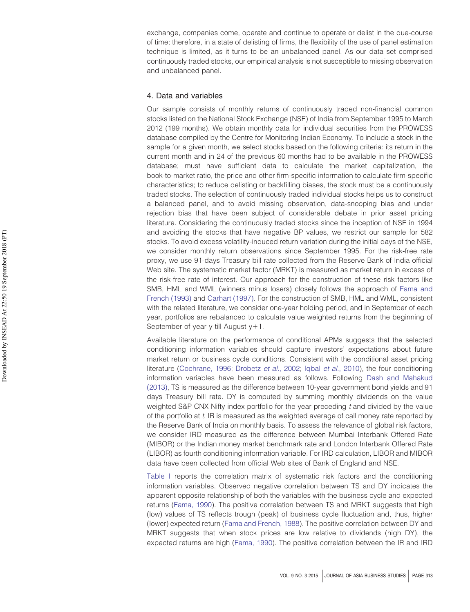exchange, companies come, operate and continue to operate or delist in the due-course of time; therefore, in a state of delisting of firms, the flexibility of the use of panel estimation technique is limited, as it turns to be an unbalanced panel. As our data set comprised continuously traded stocks, our empirical analysis is not susceptible to missing observation and unbalanced panel.

#### 4. Data and variables

Our sample consists of monthly returns of continuously traded non-financial common stocks listed on the National Stock Exchange (NSE) of India from September 1995 to March 2012 (199 months). We obtain monthly data for individual securities from the PROWESS database compiled by the Centre for Monitoring Indian Economy. To include a stock in the sample for a given month, we select stocks based on the following criteria: its return in the current month and in 24 of the previous 60 months had to be available in the PROWESS database; must have sufficient data to calculate the market capitalization, the book-to-market ratio, the price and other firm-specific information to calculate firm-specific characteristics; to reduce delisting or backfilling biases, the stock must be a continuously traded stocks. The selection of continuously traded individual stocks helps us to construct a balanced panel, and to avoid missing observation, data-snooping bias and under rejection bias that have been subject of considerable debate in prior asset pricing literature. Considering the continuously traded stocks since the inception of NSE in 1994 and avoiding the stocks that have negative BP values, we restrict our sample for 582 stocks. To avoid excess volatility-induced return variation during the initial days of the NSE, we consider monthly return observations since September 1995. For the risk-free rate proxy, we use 91-days Treasury bill rate collected from the Reserve Bank of India official Web site. The systematic market factor (MRKT) is measured as market return in excess of the risk-free rate of interest. Our approach for the construction of these risk factors like SMB, HML and WML (winners minus losers) closely follows the approach of Fama and French (1993) and Carhart (1997). For the construction of SMB, HML and WML, consistent with the related literature, we consider one-year holding period, and in September of each year, portfolios are rebalanced to calculate value weighted returns from the beginning of September of year y till August y 1.

Available literature on the performance of conditional APMs suggests that the selected conditioning information variables should capture investors' expectations about future market return or business cycle conditions. Consistent with the conditional asset pricing literature (Cochrane, 1996; Drobetz *et al.*, 2002; Iqbal *et al.*, 2010), the four conditioning information variables have been measured as follows. Following Dash and Mahakud (2013), TS is measured as the difference between 10-year government bond yields and 91 days Treasury bill rate. DY is computed by summing monthly dividends on the value weighted S&P CNX Nifty index portfolio for the year preceding *<sup>t</sup>* and divided by the value of the portfolio at *<sup>t</sup>*. IR is measured as the weighted average of call money rate reported by the Reserve Bank of India on monthly basis. To assess the relevance of global risk factors, we consider IRD measured as the difference between Mumbai Interbank Offered Rate (MIBOR) or the Indian money market benchmark rate and London Interbank Offered Rate (LIBOR) as fourth conditioning information variable. For IRD calculation, LIBOR and MIBOR data have been collected from official Web sites of Bank of England and NSE.

Table I reports the correlation matrix of systematic risk factors and the conditioning information variables. Observed negative correlation between TS and DY indicates the apparent opposite relationship of both the variables with the business cycle and expected returns (Fama, 1990). The positive correlation between TS and MRKT suggests that high (low) values of TS reflects trough (peak) of business cycle fluctuation and, thus, higher (lower) expected return (Fama and French, 1988). The positive correlation between DY and MRKT suggests that when stock prices are low relative to dividends (high DY), the expected returns are high (Fama, 1990). The positive correlation between the IR and IRD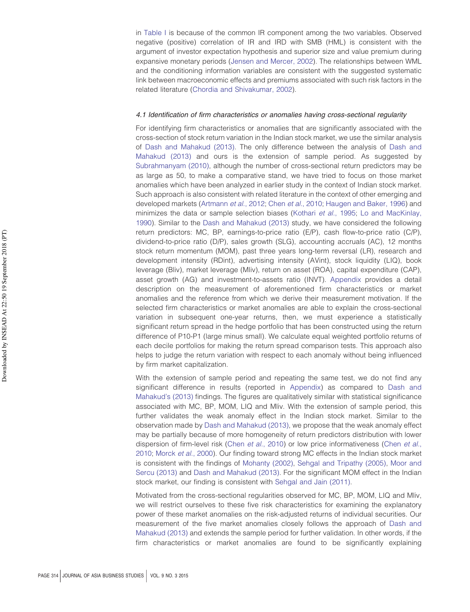in Table I is because of the common IR component among the two variables. Observed negative (positive) correlation of IR and IRD with SMB (HML) is consistent with the argument of investor expectation hypothesis and superior size and value premium during expansive monetary periods (Jensen and Mercer, 2002). The relationships between WML and the conditioning information variables are consistent with the suggested systematic link between macroeconomic effects and premiums associated with such risk factors in the related literature (Chordia and Shivakumar, 2002).

#### 4.1 Identification of firm characteristics or anomalies having cross-sectional regularity

For identifying firm characteristics or anomalies that are significantly associated with the cross-section of stock return variation in the Indian stock market, we use the similar analysis of Dash and Mahakud (2013). The only difference between the analysis of Dash and Mahakud (2013) and ours is the extension of sample period. As suggested by Subrahmanyam (2010), although the number of cross-sectional return predictors may be as large as 50, to make a comparative stand, we have tried to focus on those market anomalies which have been analyzed in earlier study in the context of Indian stock market. Such approach is also consistent with related literature in the context of other emerging and developed markets (Artmann *et al.*, 2012; Chen *et al.*, 2010; Haugen and Baker, 1996) and minimizes the data or sample selection biases (Kothari *et al.*, 1995; Lo and MacKinlay, 1990). Similar to the Dash and Mahakud (2013) study, we have considered the following return predictors: MC, BP, earnings-to-price ratio (E/P), cash flow-to-price ratio (C/P), dividend-to-price ratio (D/P), sales growth (SLG), accounting accruals (AC), 12 months stock return momentum (MOM), past three years long-term reversal (LR), research and development intensity (RDint), advertising intensity (AVint), stock liquidity (LIQ), book leverage (Bliv), market leverage (Mliv), return on asset (ROA), capital expenditure (CAP), asset growth (AG) and investment-to-assets ratio (INVT). Appendix provides a detail description on the measurement of aforementioned firm characteristics or market anomalies and the reference from which we derive their measurement motivation. If the selected firm characteristics or market anomalies are able to explain the cross-sectional variation in subsequent one-year returns, then, we must experience a statistically significant return spread in the hedge portfolio that has been constructed using the return difference of P10-P1 (large minus small). We calculate equal weighted portfolio returns of each decile portfolios for making the return spread comparison tests. This approach also helps to judge the return variation with respect to each anomaly without being influenced by firm market capitalization.

With the extension of sample period and repeating the same test, we do not find any significant difference in results (reported in Appendix) as compared to Dash and Mahakud's (2013) findings. The figures are qualitatively similar with statistical significance associated with MC, BP, MOM, LIQ and Mliv. With the extension of sample period, this further validates the weak anomaly effect in the Indian stock market. Similar to the observation made by Dash and Mahakud (2013), we propose that the weak anomaly effect may be partially because of more homogeneity of return predictors distribution with lower dispersion of firm-level risk (Chen *et al.*, 2010) or low price informativeness (Chen *et al.*, 2010; Morck *et al.*, 2000). Our finding toward strong MC effects in the Indian stock market is consistent with the findings of Mohanty (2002), Sehgal and Tripathy (2005), Moor and Sercu (2013) and Dash and Mahakud (2013). For the significant MOM effect in the Indian stock market, our finding is consistent with Sehgal and Jain (2011).

Motivated from the cross-sectional regularities observed for MC, BP, MOM, LIQ and Mliv, we will restrict ourselves to these five risk characteristics for examining the explanatory power of these market anomalies on the risk-adjusted returns of individual securities. Our measurement of the five market anomalies closely follows the approach of Dash and Mahakud (2013) and extends the sample period for further validation. In other words, if the firm characteristics or market anomalies are found to be significantly explaining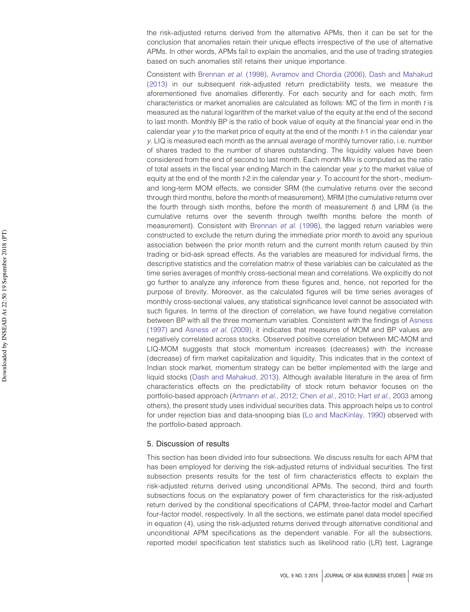the risk-adjusted returns derived from the alternative APMs, then it can be set for the conclusion that anomalies retain their unique effects irrespective of the use of alternative APMs. In other words, APMs fail to explain the anomalies, and the use of trading strategies based on such anomalies still retains their unique importance.

Consistent with Brennan *et al.* (1998), Avramov and Chordia (2006), Dash and Mahakud (2013) in our subsequent risk-adjusted return predictability tests, we measure the aforementioned five anomalies differently. For each security and for each moth, firm characteristics or market anomalies are calculated as follows: MC of the firm in month *<sup>t</sup>* is measured as the natural logarithm of the market value of the equity at the end of the second to last month. Monthly BP is the ratio of book value of equity at the financial year end in the calendar year *y* to the market price of equity at the end of the month *<sup>t</sup>*-1 in the calendar year *y*. LIQ is measured each month as the annual average of monthly turnover ratio, i.e. number of shares traded to the number of shares outstanding. The liquidity values have been considered from the end of second to last month. Each month Mliv is computed as the ratio of total assets in the fiscal year ending March in the calendar year *y* to the market value of equity at the end of the month *<sup>t</sup>*-2 in the calendar year *y.* To account for the short-, mediumand long-term MOM effects, we consider SRM (the cumulative returns over the second through third months, before the month of measurement), MRM (the cumulative returns over the fourth through sixth months, before the month of measurement *<sup>t</sup>*) and LRM (is the cumulative returns over the seventh through twelfth months before the month of measurement). Consistent with Brennan *et al.* (1998), the lagged return variables were constructed to exclude the return during the immediate prior month to avoid any spurious association between the prior month return and the current month return caused by thin trading or bid-ask spread effects. As the variables are measured for individual firms, the descriptive statistics and the correlation matrix of these variables can be calculated as the time series averages of monthly cross-sectional mean and correlations. We explicitly do not go further to analyze any inference from these figures and, hence, not reported for the purpose of brevity. Moreover, as the calculated figures will be time series averages of monthly cross-sectional values, any statistical significance level cannot be associated with such figures. In terms of the direction of correlation, we have found negative correlation between BP with all the three momentum variables. Consistent with the findings of Asness (1997) and Asness *et al.* (2009), it indicates that measures of MOM and BP values are negatively correlated across stocks. Observed positive correlation between MC-MOM and LIQ-MOM suggests that stock momentum increases (decreases) with the increase (decrease) of firm market capitalization and liquidity. This indicates that in the context of Indian stock market, momentum strategy can be better implemented with the large and liquid stocks (Dash and Mahakud, 2013). Although available literature in the area of firm characteristics effects on the predictability of stock return behavior focuses on the portfolio-based approach (Artmann *et al.*, 2012; Chen *et al.*, 2010; Hart *et al.*, 2003 among others), the present study uses individual securities data. This approach helps us to control for under rejection bias and data-snooping bias (Lo and MacKinlay, 1990) observed with the portfolio-based approach.

#### 5. Discussion of results

This section has been divided into four subsections. We discuss results for each APM that has been employed for deriving the risk-adjusted returns of individual securities. The first subsection presents results for the test of firm characteristics effects to explain the risk-adjusted returns derived using unconditional APMs. The second, third and fourth subsections focus on the explanatory power of firm characteristics for the risk-adjusted return derived by the conditional specifications of CAPM, three-factor model and Carhart four-factor model, respectively. In all the sections, we estimate panel data model specified in equation (4), using the risk-adjusted returns derived through alternative conditional and unconditional APM specifications as the dependent variable. For all the subsections, reported model specification test statistics such as likelihood ratio (LR) test, Lagrange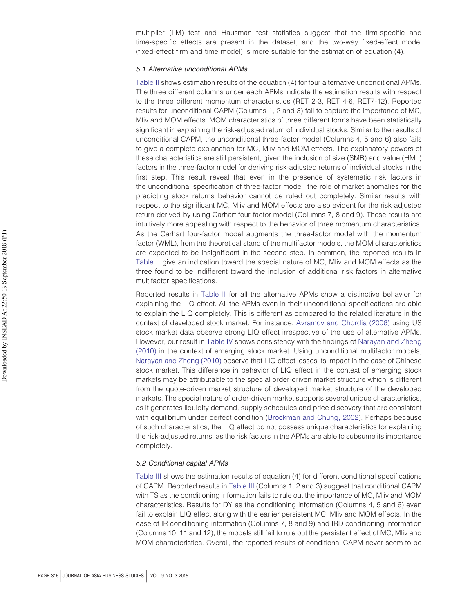multiplier (LM) test and Hausman test statistics suggest that the firm-specific and time-specific effects are present in the dataset, and the two-way fixed-effect model (fixed-effect firm and time model) is more suitable for the estimation of equation (4).

#### 5.1 Alternative unconditional APMs

Table II shows estimation results of the equation (4) for four alternative unconditional APMs. The three different columns under each APMs indicate the estimation results with respect to the three different momentum characteristics (RET 2-3, RET 4-6, RET7-12). Reported results for unconditional CAPM (Columns 1, 2 and 3) fail to capture the importance of MC, Mliv and MOM effects. MOM characteristics of three different forms have been statistically significant in explaining the risk-adjusted return of individual stocks. Similar to the results of unconditional CAPM, the unconditional three-factor model (Columns 4, 5 and 6) also fails to give a complete explanation for MC, Mliv and MOM effects. The explanatory powers of these characteristics are still persistent, given the inclusion of size (SMB) and value (HML) factors in the three-factor model for deriving risk-adjusted returns of individual stocks in the first step. This result reveal that even in the presence of systematic risk factors in the unconditional specification of three-factor model, the role of market anomalies for the predicting stock returns behavior cannot be ruled out completely. Similar results with respect to the significant MC, Mliv and MOM effects are also evident for the risk-adjusted return derived by using Carhart four-factor model (Columns 7, 8 and 9). These results are intuitively more appealing with respect to the behavior of three momentum characteristics. As the Carhart four-factor model augments the three-factor model with the momentum factor (WML), from the theoretical stand of the multifactor models, the MOM characteristics are expected to be insignificant in the second step. In common, the reported results in Table II give an indication toward the special nature of MC, Mliv and MOM effects as the three found to be indifferent toward the inclusion of additional risk factors in alternative multifactor specifications.

Reported results in Table II for all the alternative APMs show a distinctive behavior for explaining the LIQ effect. All the APMs even in their unconditional specifications are able to explain the LIQ completely. This is different as compared to the related literature in the context of developed stock market. For instance, Avramov and Chordia (2006) using US stock market data observe strong LIQ effect irrespective of the use of alternative APMs. However, our result in Table IV shows consistency with the findings of Narayan and Zheng (2010) in the context of emerging stock market. Using unconditional multifactor models, Narayan and Zheng (2010) observe that LIQ effect losses its impact in the case of Chinese stock market. This difference in behavior of LIQ effect in the context of emerging stock markets may be attributable to the special order-driven market structure which is different from the quote-driven market structure of developed market structure of the developed markets. The special nature of order-driven market supports several unique characteristics, as it generates liquidity demand, supply schedules and price discovery that are consistent with equilibrium under perfect condition (Brockman and Chung, 2002). Perhaps because of such characteristics, the LIQ effect do not possess unique characteristics for explaining the risk-adjusted returns, as the risk factors in the APMs are able to subsume its importance completely.

#### 5.2 Conditional capital APMs

Table III shows the estimation results of equation (4) for different conditional specifications of CAPM. Reported results in Table III (Columns 1, 2 and 3) suggest that conditional CAPM with TS as the conditioning information fails to rule out the importance of MC, Mliv and MOM characteristics. Results for DY as the conditioning information (Columns 4, 5 and 6) even fail to explain LIQ effect along with the earlier persistent MC, Mliv and MOM effects. In the case of IR conditioning information (Columns 7, 8 and 9) and IRD conditioning information (Columns 10, 11 and 12), the models still fail to rule out the persistent effect of MC, Mliv and MOM characteristics. Overall, the reported results of conditional CAPM never seem to be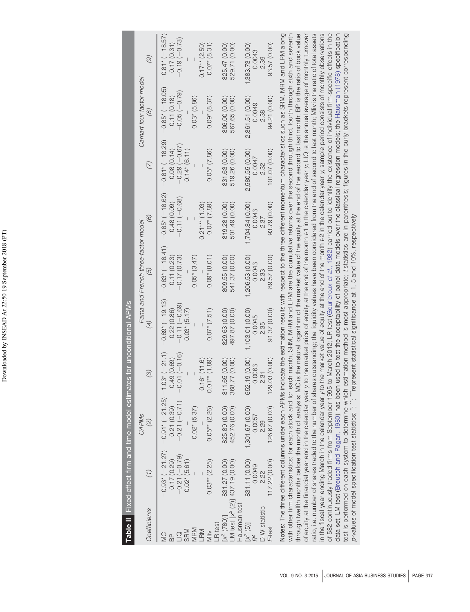|                                                                                                               | <b>Table II</b> Fixed-effect firm and time model estimates for unconditional APMs                                                                                                                                                                                                                                                                                                                                                                                                                                                                     |                                                                                                    |                                                                               |                                                                                    |                                                                                     |                                                                                             |                                                                                      |                                                                                           |                                                                                       |
|---------------------------------------------------------------------------------------------------------------|-------------------------------------------------------------------------------------------------------------------------------------------------------------------------------------------------------------------------------------------------------------------------------------------------------------------------------------------------------------------------------------------------------------------------------------------------------------------------------------------------------------------------------------------------------|----------------------------------------------------------------------------------------------------|-------------------------------------------------------------------------------|------------------------------------------------------------------------------------|-------------------------------------------------------------------------------------|---------------------------------------------------------------------------------------------|--------------------------------------------------------------------------------------|-------------------------------------------------------------------------------------------|---------------------------------------------------------------------------------------|
| Coefficients                                                                                                  |                                                                                                                                                                                                                                                                                                                                                                                                                                                                                                                                                       | CAPMs<br>$\widehat{\varrho}$                                                                       | $\binom{3}{2}$                                                                |                                                                                    | Fama and French three-factor model<br>$\left(5\right)$                              | $\circledcirc$                                                                              |                                                                                      | Carhart four factor model<br>$\left( \frac{8}{2} \right)$                                 | $\widehat{\omega}$                                                                    |
| -R <sub>test</sub><br>MRM<br>SRM<br><b>RM</b><br>Vili∨                                                        | $-0.93*(-21.27)$<br>$-0.21(-0.79)$<br>$0.02*(5.61)$<br>0.17(0.29)<br>$0.03**$ (2.25)                                                                                                                                                                                                                                                                                                                                                                                                                                                                  | $-0.91*(-21.25) -1.03*(-21.1)$<br>0.21(0.39)<br>$0.05**$ (2.26)<br>$0.02*(5.37)$                   | $-0.21(-0.71) -0.01(-0.16)$<br>0.49(0.69)<br>$0.01**$ (1.89)<br>$0.16*(11.6)$ | $-0.89*(-19.13)$<br>$-0.11(-0.69)$<br>$0.03*(5.17)$<br>0.22(0.86)<br>$0.07*(7.51)$ | $-0.83$ $(-18.41)$<br>0.11(0.23)<br>$-0.17(0.73)$<br>$0.09*(8.01)$<br>$0.05*(3.47)$ | $-0.85$ * ( $-18.62$ )<br>$-0.11(-0.68)$<br>0.48(0.09)<br>$0.07*(7.89)$<br>$0.21***$ (1.93) | $-0.81*(-18.29)$<br>$-0.29(-0.67)$<br>$0.14*(6.11)$<br>0.08(0.14)<br>$0.05*(7.86)$   | $-0.85$ * ( $-18.05$ )<br>$-0.05(-0.79)$<br>0.11(0.18)<br>$0.03*$ (5.86)<br>$0.09*(8.37)$ | $-0.81*(-18.57)$<br>$-0.19(-0.73)$<br>0.17(0.31)<br>$0.17***$ (2.59)<br>$0.07*(8.31)$ |
| Hausman test<br>D-W statistic<br>$x^2$ (780)]<br>$\begin{bmatrix} x^2 & (5) \\ 2 & 0 \end{bmatrix}$<br>F-test | 831.11 (0.00)<br>117.22 (0.00)<br>831.27 (0.00)<br>M test $[x^{2}(2)]$ 437.19 (0.00)<br>0.0049<br>2.22                                                                                                                                                                                                                                                                                                                                                                                                                                                | 126.67 (0.00) 129.03 (0.00)<br>1,301.67 (0.00)<br>825.89 (0.00)<br>452.76 (0.00)<br>0.0057<br>2.29 | 652.19 (0.00)<br>368.77 (0.00)<br>811.65 (0.00)<br>0.0063<br>2.31             | 1,103.01 (0.00)<br>91.37 (0.00)<br>829.63 (0.00)<br>497.87 (0.00)<br>0.0045<br>235 | 1,206.53 (0.00)<br>541.37 (0.00)<br>89.57 (0.00)<br>809.55 (0.00)<br>0.0043<br>2.33 | 1,704.84 (0.00)<br>93.79 (0.00)<br>501.49 (0.00)<br>819.28 (0.00)<br>0.0043<br>2.37         | 2,580.55 (0.00)<br>101.07 (0.00)<br>519.26 (0.00)<br>831.63 (0.00)<br>0.0047<br>2.32 | 2,861.51 (0.00)<br>567.65 (0.00)<br>94.21 (0.00)<br>806.00 (0.00)<br>0.0049<br>2.38       | 1,383.73 (0.00)<br>529.71 (0.00)<br>825.47 (0.00)<br>93.57 (0.00)<br>0.0043<br>2.39   |
|                                                                                                               | with other firm characteristics; for each stock and for each month, SRM, MRM are the cumulative returns over the second through third, fourth through sixth and seventh<br>Notes: The three different columns under each APMs indicate the estimation results with respect to the three different momentum characteristics such as SRM. MRM and LRM along<br>through twelfth months before the month of analysis; MC is the natural logarithm of the market value of the equity at the end of the second to last month; BP is the ratio of book value |                                                                                                    |                                                                               |                                                                                    |                                                                                     |                                                                                             |                                                                                      |                                                                                           |                                                                                       |

in the fiscal year ending March in the calendar year y to the market value of equity at the end of the month t-2 in the calendar year y, sample period consists of monthly observations in an arrest your change material increasing your your manufacture. When the set of contents and the speeding of the continuously traded firms from September 1995 to March 2012; LR test (Gourieroux et al., 1982) carried ou ratio, i.e. number of shares traded to the number of shares outstanding; the liquidity values have been considered from the end of second to last month; Milv is the ratio of total assets of equity at the financial year end in the calendar year y to the market price of equity at the end of the month t-1 in the calendar year y, LIQ is the annual average of monthly turnover through twelfth months before the month of analysis; MC is the natural logarithm of the market value of the equity at the end of the second to last month; BP is the ratio of book value of equity at the financial year end in the calendar year *y* to the market price of equity at the end of the month *t*-1 in the calendar year *y*; LIQ is the annual average of monthly turnover ratio, i.e. number of shares traded to the number of shares outstanding; the liquidity values have been considered from the end of second to last month; Milv is the ratio of total assets in the fiscal year ending March in the calendar year *y* to the market value of equity at the end of the month *t*-2 in the calendar year *y*; sample period consists of monthly observations of 582 continuously traded firms from September 1995 to March 2012; LR test (Gourieroux *et al.*, 1982) carried out to identify the existence of individual firm-specific effects in the data set; LM test (Breusch and Pagan, 1980) has been used to test the acceptability of panel data models over the classical regression models; the Hausman (1978) specification test is performed on each system to determine which estimation method is most appropriate; *t*-statistics are in parenthesis; figures in the curly brackets represent corresponding *p*-values of model specification test statistics;  $\hat{\cdot}$   $\hat{\cdot}$  represent statistical significance at 1, 5 and 10%, respectively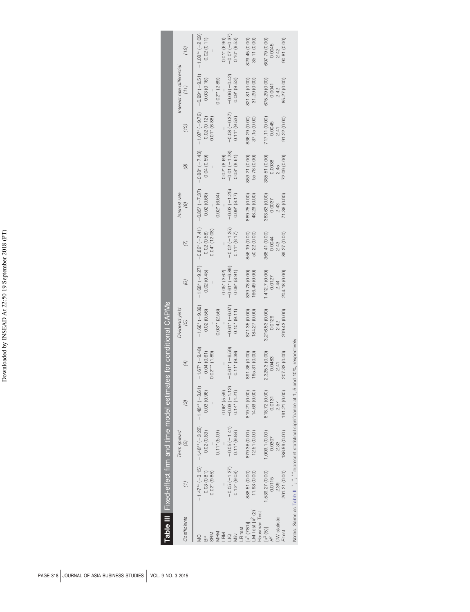| l<br>l                                                                                                     |
|------------------------------------------------------------------------------------------------------------|
| ı<br>١                                                                                                     |
| ı                                                                                                          |
| ı<br>Ó                                                                                                     |
|                                                                                                            |
|                                                                                                            |
| j<br>l<br>l                                                                                                |
| i<br>í<br>I<br>֖ׅׅ֧֧֧֧֪ׅ֖֧֧֧֧֚֚֚֚֚֚֚֚֚֚֚֚֚֚֚֚֚֚֚֚֚֚֚֚֚֚֚֞֕֕֝֡֡֡֡֡֡֡֞֡֡֡֡֡֡֡֬֝֬֡֬֞֝֬֞֝֬֞֞֝֬֝֞֞֝֬֝֬֝֬֝֞֞֝֬֝֬ |
| ۱                                                                                                          |
|                                                                                                            |
|                                                                                                            |

|                    | Table III Fixed-effect firm and time model estimates for conditional CAPMs |                                                        |                |                       |                       |                 |                     |                              |                                 |                |                                    |                  |
|--------------------|----------------------------------------------------------------------------|--------------------------------------------------------|----------------|-----------------------|-----------------------|-----------------|---------------------|------------------------------|---------------------------------|----------------|------------------------------------|------------------|
| Coefficients       |                                                                            | Term spread<br>$\circledcirc$                          |                | 4,                    | Dividend yield<br>(5) | ම               |                     | Interest rate<br>$\circledg$ | $\odot$                         | (10)           | Interest rate differential<br>(11) | (12)             |
|                    |                                                                            |                                                        |                |                       |                       |                 |                     |                              |                                 |                |                                    |                  |
|                    |                                                                            | $-1.47***$ (-3.15) $-1.48**$ (-3.22) $-1.48**$ (-3.61) |                | $-1.67$ * ( $-9.48$ ) | $-1.66*(-9.39)$       | $-1.68*(-9.27)$ | $-0.82$ * $(-7.41)$ | $-0.85*(-7.37)$              | $-0.88*(-7.43)$ $-1.07*(-9.72)$ |                | $-0.99*(-9.51)$                    | $-1.08**(-2.09)$ |
|                    |                                                                            | 0.02(0.83)                                             | 0.03(0.96)     | 0.04(0.61)            | 0.02(0.56)            | 0.02(0.45)      | 0.02(0.58)          | 0.02(0.66)                   | 0.04(0.59)                      | 0.02(0.12)     | 0.03(0.16)                         | 0.02(0.11)       |
|                    | $0.03(0.81)$<br>$0.02*(9.85)$                                              |                                                        |                | $0.02***$ (1.89)      |                       |                 | $0.04*(12.08)$      |                              |                                 | $0.01*(6.88)$  |                                    |                  |
|                    |                                                                            | $0.11*$ (5.09)                                         |                |                       | $0.03**$ (2.56)       |                 |                     | $0.02*(6.64)$                |                                 |                | $0.02**$ (2.89)                    |                  |
| LRM                |                                                                            |                                                        | $0.06*(5.59)$  |                       |                       | $0.05*(3.62)$   |                     |                              | $0.02*(8.69)$                   |                |                                    | $0.01*$ (6.90)   |
|                    | $-0.05(-1.27)$                                                             |                                                        | $-0.03(-1.12)$ | $-0.61*(-6.59)$       | $-0.61*(-6.07)$       | $-0.61*(-6.89)$ | $0.02(-1.25)$       | $-0.02(-1.25)$               | $-0.01(-1.28)$                  | $-0.08(-0.37)$ | $-0.06(-0.42)$                     | $-0.07(-0.37)$   |
|                    | $0.12*(9.08)$                                                              | $-0.05(-1.41)$<br>0.11* (9.88)                         | $0.14*(4.21)$  | $0.11*(9.39)$         | $0.10*(9.11)$         | $0.09*(8.91)$   | $0.11*(8.17)$       | $0.09*(8.17)$                | $0.08*(8.61)$                   | $0.11*(9.53)$  | $0.09*(9.53)$                      | $0.10* (9.53)$   |
| R test             |                                                                            |                                                        |                |                       |                       |                 |                     |                              |                                 |                |                                    |                  |
| $X(780)$ ]         | 888.51 (0.00)                                                              | 879.36 (0.00)                                          | 819.21 (0.00)  | 891.36 (0.00)         | 871.35 (0.00)         | 839.78 (0.00)   | 856.19 (0.00)       | 889.25 (0.00)                | 853.21 (0.00)                   | 36.29 (0.00)   | 821.81 (0.00)                      | 829.45 (0.00)    |
| -M Test $[x^2(2)]$ | 11.93(0.00)                                                                | 12.51(0.00)                                            | 14.69 (0.00)   | 195.31 (0.00)         | (0.00) 22 (4.27)      | 66.49 (0.00)    | 50.22 (0.00)        | 48.29 (0.00)                 | 55.78 (0.00)                    | 37.15 (0.00)   | 31.29 (0.00)                       | 35.11 (0.00)     |
| Hausman Test       |                                                                            |                                                        |                |                       |                       |                 |                     |                              |                                 |                |                                    |                  |
| $[x^{2}(5)]$       | 1,539.27 (0.00)                                                            | 1,009.1 (0.00)                                         | 818.72 (0.00)  | ,325.3(0.00)          | 3,216.53 (0.00)       | 1,412.7 (0.00)  | 368.41 (0.00)       | 383.63 (0.00)                | 385.51 (0.00)                   | 717.11 (0.00)  | 675.29 (0.00)                      | 607.79 (0.00)    |
|                    | 0.0115                                                                     | 0.0307                                                 | 0.0131         | 0.0483                | 0.0129                | 0.0127          | 0.0044              | 0.0037                       | 0.0038                          | 0.0045         | 0.0041                             | 0.0045           |
| DW statistic       | 2.39                                                                       | 2.33                                                   | 2.57           | 2.41                  | 2.42                  | 2.44            | 2.43                | 2.43                         | 2.45                            | 2.41           | 2.42                               | 2.42             |
| Fitest             | 201.21 (0.00)                                                              | 186.59 (0.00)                                          | 191.21 (0.00)  | 207.33 (0.00)         | 209.43 (0.00)         | 204.18 (0.00)   | 89.27 (0.00)        | 71.36 (0.00)                 | 72.09 (0.00)                    | 91.22(0.00)    | 85.27 (0.00)                       | 90.81 (0.00)     |
|                    | <b>実実 実実 米 コンピューター</b>                                                     |                                                        |                |                       |                       |                 |                     |                              |                                 |                |                                    |                  |

Notes: Same as Table II; \* ; \*\* ; \*\*\* represent statistical significance at 1, 5 and 10%, respectively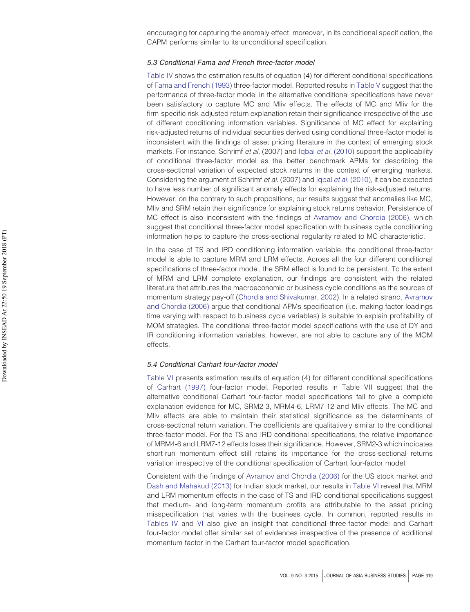encouraging for capturing the anomaly effect; moreover, in its conditional specification, the CAPM performs similar to its unconditional specification.

#### 5.3 Conditional Fama and French three-factor model

Table IV shows the estimation results of equation (4) for different conditional specifications of Fama and French (1993) three-factor model. Reported results in Table V suggest that the performance of three-factor model in the alternative conditional specifications have never been satisfactory to capture MC and Mliv effects. The effects of MC and Mliv for the firm-specific risk-adjusted return explanation retain their significance irrespective of the use of different conditioning information variables. Significance of MC effect for explaining risk-adjusted returns of individual securities derived using conditional three-factor model is inconsistent with the findings of asset pricing literature in the context of emerging stock markets. For instance, Schrimf *et al.* (2007) and Iqbal *et al.* (2010) support the applicability of conditional three-factor model as the better benchmark APMs for describing the cross-sectional variation of expected stock returns in the context of emerging markets. Considering the argument of Schrimf *et al.* (2007) and Iqbal *et al.* (2010), it can be expected to have less number of significant anomaly effects for explaining the risk-adjusted returns. However, on the contrary to such propositions, our results suggest that anomalies like MC, Mliv and SRM retain their significance for explaining stock returns behavior. Persistence of MC effect is also inconsistent with the findings of Avramov and Chordia (2006), which suggest that conditional three-factor model specification with business cycle conditioning information helps to capture the cross-sectional regularity related to MC characteristic.

In the case of TS and IRD conditioning information variable, the conditional three-factor model is able to capture MRM and LRM effects. Across all the four different conditional specifications of three-factor model, the SRM effect is found to be persistent. To the extent of MRM and LRM complete explanation, our findings are consistent with the related literature that attributes the macroeconomic or business cycle conditions as the sources of momentum strategy pay-off (Chordia and Shivakumar, 2002). In a related strand, Avramov and Chordia (2006) argue that conditional APMs specification (i.e. making factor loadings time varying with respect to business cycle variables) is suitable to explain profitability of MOM strategies. The conditional three-factor model specifications with the use of DY and IR conditioning information variables, however, are not able to capture any of the MOM effects.

#### 5.4 Conditional Carhart four-factor model

Table VI presents estimation results of equation (4) for different conditional specifications of Carhart (1997) four-factor model. Reported results in Table VII suggest that the alternative conditional Carhart four-factor model specifications fail to give a complete explanation evidence for MC, SRM2-3, MRM4-6, LRM7-12 and Mliv effects. The MC and Mliv effects are able to maintain their statistical significance as the determinants of cross-sectional return variation. The coefficients are qualitatively similar to the conditional three-factor model. For the TS and IRD conditional specifications, the relative importance of MRM4-6 and LRM7-12 effects loses their significance. However, SRM2-3 which indicates short-run momentum effect still retains its importance for the cross-sectional returns variation irrespective of the conditional specification of Carhart four-factor model.

Consistent with the findings of Avramov and Chordia (2006) for the US stock market and Dash and Mahakud (2013) for Indian stock market, our results in Table VI reveal that MRM and LRM momentum effects in the case of TS and IRD conditional specifications suggest that medium- and long-term momentum profits are attributable to the asset pricing misspecification that varies with the business cycle. In common, reported results in Tables IV and VI also give an insight that conditional three-factor model and Carhart four-factor model offer similar set of evidences irrespective of the presence of additional momentum factor in the Carhart four-factor model specification.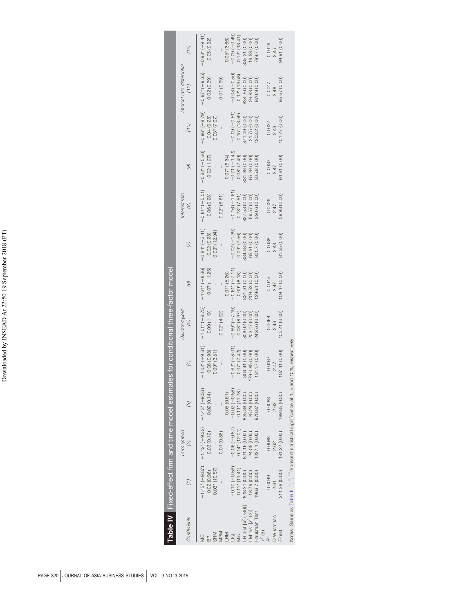| l<br>l                                                                                                            |
|-------------------------------------------------------------------------------------------------------------------|
| ı                                                                                                                 |
| ı<br>l<br>l                                                                                                       |
|                                                                                                                   |
| j<br>l                                                                                                            |
| i<br>Ì<br>i<br>I<br>ׅׅ֧֧֧֧֧֧֧֚֚֚֚֚֚֚֚֚֚֚֚֚֚֚֚֚֚֚֚֚֚֚֚֞֕֕֝֕֝֡֡֡֡֡֞֡֞֡֡֡֡֬֝֬֡֟֓֞֝֬֝֬֞֝֬֞֞֬֝֬֝֞֞֝֬֝֬֝֬֝֬֝֬֝֬֝֬֝֬֝֬֝֬ |
| ֡֡֡֡֡֡֡                                                                                                           |
|                                                                                                                   |

|                          |                                                                               |                                                 |                | Table IV Fixed-effect firm and time model estimates for conditional three-factor model |                                  |                 |                  |                                   |                |                 |                                    |                 |
|--------------------------|-------------------------------------------------------------------------------|-------------------------------------------------|----------------|----------------------------------------------------------------------------------------|----------------------------------|-----------------|------------------|-----------------------------------|----------------|-----------------|------------------------------------|-----------------|
| Coefficients             |                                                                               | Term spread                                     | $\binom{3}{2}$ | $\left(4\right)$                                                                       | Dividend yield<br>$\overline{5}$ | O)              |                  | Interest rate<br>$\binom{8}{}$    | ම              | (10)            | Interest rate differential<br>(11) | (12)            |
|                          |                                                                               | $-1.45*(-9.87)$ $-1.42*(-9.32)$ $-1.43*(-9.53)$ |                | $-1.02*(-9.31)$                                                                        | $-1.01*(-8.75)$                  | $-1.01*(-8.86)$ | $-0.84*(-5.41)$  | $-0.81^*(-5.01)$ $-0.82^*(-5.60)$ |                | $-0.96*(-9.79)$ | $-0.97*(-9.35)$                    | $-0.98*(-9.41)$ |
|                          | 0.02(0.96)                                                                    | 0.03(0.12)                                      | 0.02(0.14)     | 0.06(0.98)                                                                             | 0.09(1.19)                       | $0.07(-1.25)$   | 0.02(0.28)       | 0.06(0.28)                        | 0.02(1.27)     | 0.04(0.28)      | 0.02(0.39)                         | 0.05(0.32)      |
| <b>SRM</b>               | $0.03*(10.57)$                                                                |                                                 |                | $0.09*(3.51)$                                                                          |                                  |                 | $0.03*(12.94)$   |                                   |                | $0.05*(7.07)$   |                                    |                 |
| MRM                      |                                                                               | 0.01(0.86)                                      |                |                                                                                        | $0.02*(4.02)$                    |                 |                  | $0.02*(6.61)$                     |                |                 | 0.01(0.99)                         |                 |
|                          |                                                                               |                                                 | 0.05(0.61)     |                                                                                        |                                  | $0.01*$ (5.26)  |                  |                                   | $0.07*(9.34)$  |                 |                                    | $0.05*$ (3.66)  |
|                          | $-0.10(-0.56)$                                                                | $-0.06(-0.57)$                                  | $-0.02(-0.58)$ | $-0.62*(-8.01)$                                                                        | $0.59*(-7.19)$                   | $-0.61*(-7.11)$ | $0.02(-1.39)$    | $-0.16(-1.61)$                    | $-0.01(-1.42)$ | $-0.09(-0.51$   | $0.08 (-0.50)$                     | $-0.09(-0.49$   |
|                          | $0.11*(11.41)$                                                                | $0.14*(12.01)$                                  | $0.11*(11.78)$ | $0.07*(7.42)$                                                                          | $0.08*(8.37)$                    | $0.09*(8.13)$   | $0.09*$ $(7.56)$ | $0.73*(7.51)$                     | $0.08*(7.49)$  | $0.15*(13.59)$  | $0.12*(13.58)$                     | $0.12*$ (13.41  |
| $-R$ test $[x^{2}(780)]$ | 828.31 (0.00)                                                                 | 821.16 (0.00)                                   | 825.39 (0.00)  | 804.41 (0.00)                                                                          | 809.02 (0.00)                    | 321.31 (0.00    | 34.58 (0.00)     | 827.53 (0.00)                     | $(0.00)$ 88.13 | 371.49 (0.00)   | 338.26 (0.00)                      | 35.21 (0.00)    |
| -M test $[x^2(2)]$       | 18.79 (0.00)                                                                  | 24.05 (0.00)                                    | 25.29 (0.00)   | 79.0.85 (0.00)                                                                         | 203.47 (0.00)                    | 209.53 (0.00)   | 65.31 (0.00)     | 59.57 (0.00)                      | 65.29 (0.00)   | 21.75 (0.00)    | 26.83 (0.00                        | 19.53 (0.00     |
| Hausman Test             | 963.7 (0.00)                                                                  | (227.1(0.00))                                   | (00.0) S8.076  | 1314.7 (0.00)                                                                          | 2425.6 (0.00)                    | 296.1 (0.00)    | 301.7 (0.00)     | 320.6 (0.00)                      | 325.8 (0.00)   | 203.2 (0.00)    | 970.9 (0.00)                       | (0.00) 7.66/    |
| $x^2(5)$                 |                                                                               |                                                 |                |                                                                                        |                                  |                 |                  |                                   |                |                 |                                    |                 |
|                          | 0.0099                                                                        | 0.0088                                          | 0.0088         | 0.0067                                                                                 | 0.0064                           | 0.0045          | 0.0038           | 0.0029                            | 0.0032         | 0.0037          | 0.0047                             | 0.0049          |
| 0-W statistic            | 2.61                                                                          | 2.62                                            | 2.63           | 2.47                                                                                   | 2.43                             | 2.47            | 2.43             | 2.47                              | 2.47           | 2.43            | 2.48                               | 2.45            |
| Fitest                   | 211.38 (0.00)                                                                 | 181.27 (0.00)                                   | 189.85 (0.00)  | 107.41 (0.00)                                                                          | 105.21(0.00)                     | 109.47 (0.00)   | 81.25 (0.00)     | 59.93 (0.00)                      | 64.81 (0.00)   | 101.27 (0.00)   | 95.67 (0.00)                       | 94.91 (0.00)    |
|                          | Notes: Same as Table II; "; "" represent statistical significance at 1, 5 and |                                                 |                | 10%, respectively                                                                      |                                  |                 |                  |                                   |                |                 |                                    |                 |

PAGE 320 JOURNAL OF ASIA BUSINESS STUDIES  $\Big\vert$  VOL. 9 NO. 3 2015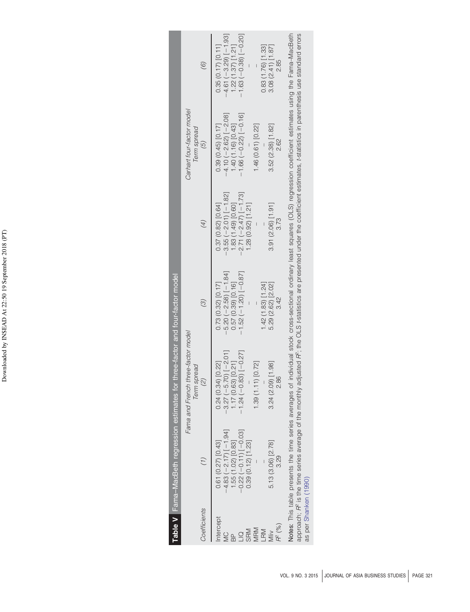Downloaded by INSEAD At 22:50 19 September 2018 (PT) Downloaded by INSEAD At 22:50 19 September 2018 (PT)

| Coefficients<br>ntercept<br>MRM<br>LRM<br>SRM<br>Mliv<br>WC<br>$\subseteq$<br>$\frac{p}{\beta}$ | $-4.83(-2.17)[-1.94]$<br>$0.22(-0.11)$ [-0.03]<br>1.55 (1.02) [0.83]<br>0.39(0.12)[1.23]<br>0.61(0.27)[0.43]<br>5.13 (3.06) [2.78] | Table V Fama-MacBeth regression estimates for three-factor and four-factor model<br>Fama and French three-factor model<br>$-3.27(-5.70)$ [ $-2.01$ ]<br>$(1.24 (-0.83) [-0.27]$<br>1.17(0.63)[0.21]<br>0.24(0.34)[0.22]<br>$3.24(2.09)$ [1.98]<br>1.39(1.11)[0.72]<br>Term spread<br>$\overline{c}$ | $-5.20(-2.58)$ $[-1.84]$<br>$-1.52(-1.20)$ [-0.87]<br>$0.57(0.39)$ $0.16$<br>0.73(0.32)[0.17]<br>$1.42(1.83)$ [1.24]<br>5.29 (2.62) [2.02]<br>$\widehat{\omega}$ | $-3.55(-2.01)$ [-1.82]<br>$-2.71(-2.47)$ [-1.73]<br>1.83 (1.49) [0.60]<br>$1.28(0.92)$ [1.21]<br>0.37(0.82)[0.64]<br>$3.91(2.06)$ [1.91]<br>(4) | Carhart four-factor model<br>$-4.10(-2.62)$ $[-2.08]$<br>$-1.66(-0.22)[-0.16]$<br>0.39(0.45)[0.17]<br>1.40 (1.16) [0.43]<br>1.46 (0.61) [0.22]<br>$3.52(2.38)$ [1.82]<br>Term spread<br>(5) | $-1.63(-0.38)$ $[-0.20]$<br>$-4.61(-3.29)$ $[-1.93]$<br>$1.22(1.37)$ [1.21]<br>0.35(0.17)[0.11]<br>0.83 (1.76) [1.33]<br>3.08(2.41)[1.87]<br>$\widehat{\circ}$ |
|-------------------------------------------------------------------------------------------------|------------------------------------------------------------------------------------------------------------------------------------|-----------------------------------------------------------------------------------------------------------------------------------------------------------------------------------------------------------------------------------------------------------------------------------------------------|------------------------------------------------------------------------------------------------------------------------------------------------------------------|-------------------------------------------------------------------------------------------------------------------------------------------------|---------------------------------------------------------------------------------------------------------------------------------------------------------------------------------------------|----------------------------------------------------------------------------------------------------------------------------------------------------------------|
| $P^2(%)$                                                                                        | Notes: This table presents the time series averages of<br>83.                                                                      | 8.c                                                                                                                                                                                                                                                                                                 | 3.42                                                                                                                                                             | individual stock cross-sectional ordinary least squares (OLS) regression coefficient estimates using the Fama-MacBeth<br>3.73                   | 2.62                                                                                                                                                                                        | 85<br>28                                                                                                                                                       |

Notes: This table presents the time series averages of individual stock cross-sectional ordinary least squares (OLS) regression coefficient estimates using the Fama-MacBeth<br>approach; r<sup>ee</sup> is the time series average of the Notes: This table presents the time series averages averages the time series averages averages averages of individual stock cross-sectional states averages averages averages averages averages as the Fama–MacBeth approach; *R*2 is the time series average of the monthly adjusted *R*2; the OLS *t*-statistics are presented under the coefficient estimates, *t*-statistics in parenthesis use standard errors as per Shanken (1990)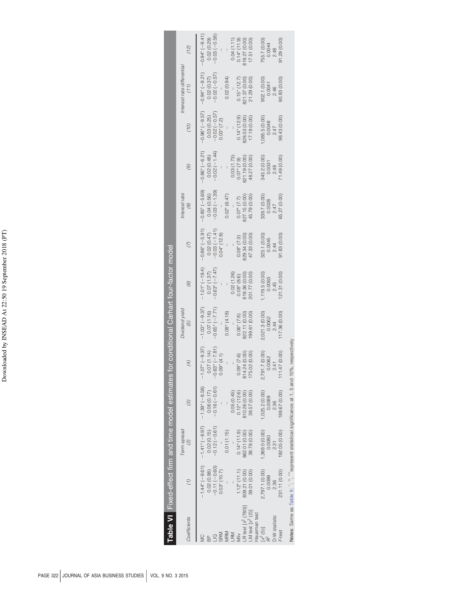| ı                |
|------------------|
| l                |
| í<br>ı<br>I<br>i |
| l<br>ı<br>l      |
| I<br>I           |
| ۱<br>ı           |

|                                    | Table VI Fixed-effect firm and time model estimates for conditional Carhart four-factor model |                                                 |                         |                                |                                                                   |                                |                               |                                 |                        |                               |                                    |                        |
|------------------------------------|-----------------------------------------------------------------------------------------------|-------------------------------------------------|-------------------------|--------------------------------|-------------------------------------------------------------------|--------------------------------|-------------------------------|---------------------------------|------------------------|-------------------------------|------------------------------------|------------------------|
| Coefficients                       |                                                                                               | Term spread                                     |                         | $^{(4)}$                       | Dividend yield<br>(5)                                             |                                |                               | Interest rate<br>$\circledcirc$ | ම                      |                               | Interest rate differential<br>(11) | (12)                   |
|                                    |                                                                                               | $-1.44*(-9.61)$ $-1.41*(-1.41)$ $-1.39*(-8.58)$ |                         | $-1.07*(-9.37)$                | $-1.03*(-9.37)$                                                   | $-1.01*(-19.4)$                | $-0.86*(-5.91)$               | $-0.85*(-5.69)$                 | $-0.86*(-6.21)$        | $-0.96*(-9.57)$               | $-0.94*(-9.21)$                    | $-0.94*(-9.41)$        |
|                                    | 0.02(0.98)                                                                                    | 0.02(0.15)                                      | 0.06(0.17)              |                                |                                                                   |                                |                               | 0.04(0.56)                      | 0.02(0.48)             |                               | 0.02(0.37)                         | 0.02(0.29)             |
|                                    | $-0.11(-0.60)$                                                                                | $-0.12(-0.61)$                                  | $-0.16(-0.61)$          | $0.07(1.14)$<br>-0.63* (-7.81) | $\begin{array}{c} 0.07 \ (1.16) \\ -0.65^* \ (-7.71) \end{array}$ | $0.07(1.37)$<br>-0.63* (-7.47) | $0.02(0.47)$<br>-0.03 (-1.41) | $0.03(-1.39)$                   | $-0.02(-1.44)$         | $0.03(0.25)$<br>-0.02 (-0.57) | $-0.02(-0.57)$                     | $-0.03(-0.58)$         |
| SRM                                | $0.03$ (10.7)                                                                                 |                                                 |                         | $0.09*(4.1)$                   |                                                                   |                                | $0.04*(12.8)$                 |                                 |                        | $0.03*(7.2)$                  |                                    |                        |
| WHM                                |                                                                                               | 0.01(1.15)                                      |                         |                                | $0.08*(4.18)$                                                     |                                |                               | $0.02*(6.47)$                   |                        |                               | 0.02(0.94)                         |                        |
| LRM                                |                                                                                               |                                                 | 0.05(0.45)              |                                |                                                                   | 0.02(1.26)                     |                               |                                 | 0.03(1.73)             |                               |                                    | 0.04(1.11)             |
|                                    | $1.12*(11.1)$                                                                                 | $0.14*(11.9)$                                   | $0.12*(12.6)$           | $0.09*(7.6)$                   | $0.06*(7.8)$                                                      | $0.08*(8.6)$                   | $0.08*(7.3)$                  | $0.07*(7.7)$                    | $0.07*(7.9)$           | $0.14*(12.9)$                 | $0.15*(12.7)$                      | $0.14*(11.9)$          |
| $-R$ test $[x^{2}(780)]$           |                                                                                               | (0.00) 10.59%                                   | 10.26 (0.00)            | 814.24 (0.00)                  | 822.11 (0.00)                                                     | 319.36 (0.00                   | (29.34(0.00))                 | (0.00) 15/(27.15                | 21.19 (0.00)           | 328.53 (0.00)                 | 821.37 (0.00)                      | 19.27 (0.00)           |
| -M test $[x^2(2)]$<br>Hausman test | 809.21 (0.00)<br>39.01 (0.00)                                                                 | 38.78 (0.00)                                    | 38.57 (0.00)            | 175.02 (0.00)                  | 199.61 (0.00)                                                     | 201.77 (0.00)                  | 47.33 (0.00)                  | 45.79 (0.00)                    | 48.27 (0.00)           | 17.19 (0.00)                  | 21.29 (0.00)                       | 17.51 (0.00)           |
| $\frac{1}{2}$ (5)]                 | 2,797.1 (0.00)<br>0.0099                                                                      | 1,369.0 (0.00)<br>0.0080                        | 1,025.2(0.00)<br>0.0089 | 2,791.7 (0.00)<br>0.0062       | 2,021.3 (0.00)<br>0.0062                                          | 1,119.5 (0.00)<br>0.0063       | 325.1 (0.00)<br>0.0045        | 339.7 (0.00)<br>0.0028          | 343.2 (0.00)<br>0.0031 | 1,085.5 (0.00)<br>0.0048      | 902.1 (0.00)<br>0.0041             | 755.7 (0.00)<br>0.0044 |
| 0-W statistic                      | 2.36                                                                                          | 2.31                                            | 2.36                    | 2.41                           | 2.44                                                              | 2.45                           | 2.44                          | 2.47                            | 2.48                   | 2.47                          | 2.46                               | 2.48                   |
| Fitest                             | 231.11 (0.00)                                                                                 | 192.05 (0.00)                                   | 188.67 (0.00)           | 111.47 (0.00)                  | 117.36 (0.00)                                                     | 121.31(0.00)                   | 91.83 (0.00)                  | 65.27 (0.00)                    | 71.49 (0.00)           | 98.43 (0.00)                  | 90.83(0.00)                        | 91.29 (0.00)           |
|                                    | Notes: Same as Table II; ; ; ; ; represent statistical significance at 1, 5 and               |                                                 |                         | 10%, respectively              |                                                                   |                                |                               |                                 |                        |                               |                                    |                        |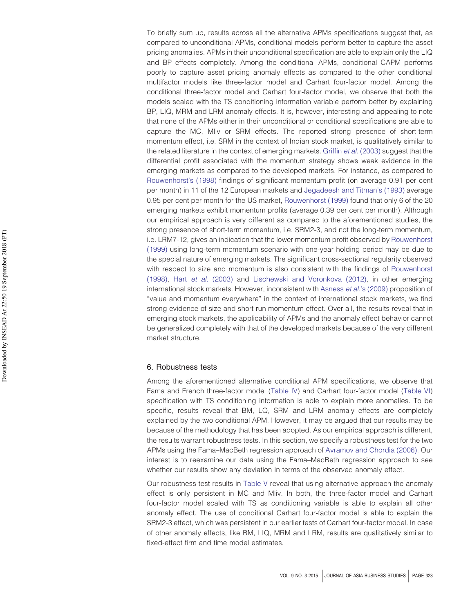To briefly sum up, results across all the alternative APMs specifications suggest that, as compared to unconditional APMs, conditional models perform better to capture the asset pricing anomalies. APMs in their unconditional specification are able to explain only the LIQ and BP effects completely. Among the conditional APMs, conditional CAPM performs poorly to capture asset pricing anomaly effects as compared to the other conditional multifactor models like three-factor model and Carhart four-factor model. Among the conditional three-factor model and Carhart four-factor model, we observe that both the models scaled with the TS conditioning information variable perform better by explaining BP, LIQ, MRM and LRM anomaly effects. It is, however, interesting and appealing to note that none of the APMs either in their unconditional or conditional specifications are able to capture the MC, Mliv or SRM effects. The reported strong presence of short-term momentum effect, i.e. SRM in the context of Indian stock market, is qualitatively similar to the related literature in the context of emerging markets. Griffin *et al.* (2003) suggest that the differential profit associated with the momentum strategy shows weak evidence in the emerging markets as compared to the developed markets. For instance, as compared to Rouwenhorst's (1998) findings of significant momentum profit (on average 0.91 per cent per month) in 11 of the 12 European markets and Jegadeesh and Titman's (1993) average 0.95 per cent per month for the US market, Rouwenhorst (1999) found that only 6 of the 20 emerging markets exhibit momentum profits (average 0.39 per cent per month). Although our empirical approach is very different as compared to the aforementioned studies, the strong presence of short-term momentum, i.e. SRM2-3, and not the long-term momentum, i.e. LRM7-12, gives an indication that the lower momentum profit observed by Rouwenhorst (1999) using long-term momentum scenario with one-year holding period may be due to the special nature of emerging markets. The significant cross-sectional regularity observed with respect to size and momentum is also consistent with the findings of Rouwenhorst (1998), Hart *et al.* (2003) and Lischewski and Voronkova (2012), in other emerging international stock markets. However, inconsistent with Asness *et al.*'s (2009) proposition of "value and momentum everywhere" in the context of international stock markets, we find strong evidence of size and short run momentum effect. Over all, the results reveal that in emerging stock markets, the applicability of APMs and the anomaly effect behavior cannot be generalized completely with that of the developed markets because of the very different market structure.

#### 6. Robustness tests

Among the aforementioned alternative conditional APM specifications, we observe that Fama and French three-factor model (Table IV) and Carhart four-factor model (Table VI ) specification with TS conditioning information is able to explain more anomalies. To be specific, results reveal that BM, LQ, SRM and LRM anomaly effects are completely explained by the two conditional APM. However, it may be argued that our results may be because of the methodology that has been adopted. As our empirical approach is different, the results warrant robustness tests. In this section, we specify a robustness test for the two APMs using the Fama–MacBeth regression approach of Avramov and Chordia (2006). Our interest is to reexamine our data using the Fama–MacBeth regression approach to see whether our results show any deviation in terms of the observed anomaly effect.

Our robustness test results in Table V reveal that using alternative approach the anomaly effect is only persistent in MC and Mliv. In both, the three-factor model and Carhart four-factor model scaled with TS as conditioning variable is able to explain all other anomaly effect. The use of conditional Carhart four-factor model is able to explain the SRM2-3 effect, which was persistent in our earlier tests of Carhart four-factor model. In case of other anomaly effects, like BM, LIQ, MRM and LRM, results are qualitatively similar to fixed-effect firm and time model estimates.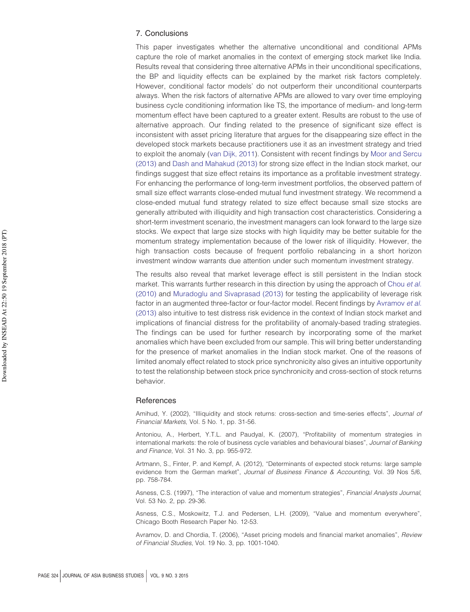#### 7. Conclusions

This paper investigates whether the alternative unconditional and conditional APMs capture the role of market anomalies in the context of emerging stock market like India. Results reveal that considering three alternative APMs in their unconditional specifications, the BP and liquidity effects can be explained by the market risk factors completely. However, conditional factor models' do not outperform their unconditional counterparts always. When the risk factors of alternative APMs are allowed to vary over time employing business cycle conditioning information like TS, the importance of medium- and long-term momentum effect have been captured to a greater extent. Results are robust to the use of alternative approach. Our finding related to the presence of significant size effect is inconsistent with asset pricing literature that argues for the disappearing size effect in the developed stock markets because practitioners use it as an investment strategy and tried to exploit the anomaly (van Dijk, 2011). Consistent with recent findings by Moor and Sercu (2013) and Dash and Mahakud (2013) for strong size effect in the Indian stock market, our findings suggest that size effect retains its importance as a profitable investment strategy. For enhancing the performance of long-term investment portfolios, the observed pattern of small size effect warrants close-ended mutual fund investment strategy. We recommend a close-ended mutual fund strategy related to size effect because small size stocks are generally attributed with illiquidity and high transaction cost characteristics. Considering a short-term investment scenario, the investment managers can look forward to the large size stocks. We expect that large size stocks with high liquidity may be better suitable for the momentum strategy implementation because of the lower risk of illiquidity. However, the high transaction costs because of frequent portfolio rebalancing in a short horizon investment window warrants due attention under such momentum investment strategy.

The results also reveal that market leverage effect is still persistent in the Indian stock market. This warrants further research in this direction by using the approach of Chou *et al.* (2010) and Muradoglu and Sivaprasad (2013) for testing the applicability of leverage risk factor in an augmented three-factor or four-factor model. Recent findings by Avramov *et al.* (2013) also intuitive to test distress risk evidence in the context of Indian stock market and implications of financial distress for the profitability of anomaly-based trading strategies. The findings can be used for further research by incorporating some of the market anomalies which have been excluded from our sample. This will bring better understanding for the presence of market anomalies in the Indian stock market. One of the reasons of limited anomaly effect related to stock price synchronicity also gives an intuitive opportunity to test the relationship between stock price synchronicity and cross-section of stock returns behavior.

#### References

Amihud, Y. (2002), "Illiquidity and stock returns: cross-section and time-series effects", *Journal of Financial Markets*, Vol. 5 No. 1, pp. 31-56.

Antoniou, A., Herbert, Y.T.L. and Paudyal, K. (2007), "Profitability of momentum strategies in international markets: the role of business cycle variables and behavioural biases", *Journal of Banking and Finance*, Vol. 31 No. 3, pp. 955-972.

Artmann, S., Finter, P. and Kempf, A. (2012), "Determinants of expected stock returns: large sample evidence from the German market", *Journal of Business Finance & Accounting*, Vol. 39 Nos 5/6, pp. 758-784.

Asness, C.S. (1997), "The interaction of value and momentum strategies", *Financial Analysts Journal*, Vol. 53 No. 2, pp. 29-36.

Asness, C.S., Moskowitz, T.J. and Pedersen, L.H. (2009), "Value and momentum everywhere", Chicago Booth Research Paper No. 12-53.

Avramov, D. and Chordia, T. (2006), "Asset pricing models and financial market anomalies", *Review of Financial Studies*, Vol. 19 No. 3, pp. 1001-1040.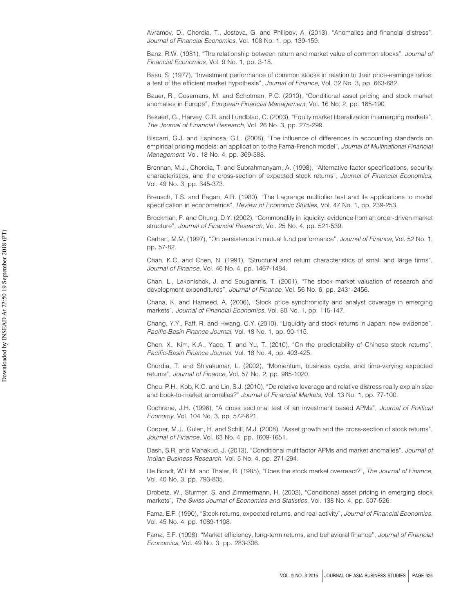Avramov, D., Chordia, T., Jostova, G. and Philipov, A. (2013), "Anomalies and financial distress", *Journal of Financial Economics*, Vol. 108 No. 1, pp. 139-159.

Banz, R.W. (1981), "The relationship between return and market value of common stocks", *Journal of Financial Economics*, Vol. 9 No. 1, pp. 3-18.

Basu, S. (1977), "Investment performance of common stocks in relation to their price-earnings ratios: a test of the efficient market hypothesis", *Journal of Finance*, Vol. 32 No. 3, pp. 663-682.

Bauer, R., Cosemans, M. and Schotman, P.C. (2010), "Conditional asset pricing and stock market anomalies in Europe", *European Financial Management*, Vol. 16 No. 2, pp. 165-190.

Bekaert, G., Harvey, C.R. and Lundblad, C. (2003), "Equity market liberalization in emerging markets", *The Journal of Financial Research*, Vol. 26 No. 3, pp. 275-299.

Biscarri, G.J. and Espinosa, G.L. (2008), "The influence of differences in accounting standards on empirical pricing models: an application to the Fama-French model", *Journal of Multinational Financial Management*, Vol. 18 No. 4, pp. 369-388.

Brennan, M.J., Chordia, T. and Subrahmanyam, A. (1998), "Alternative factor specifications, security characteristics, and the cross-section of expected stock returns", *Journal of Financial Economics*, Vol. 49 No. 3, pp. 345-373.

Breusch, T.S. and Pagan, A.R. (1980), "The Lagrange multiplier test and its applications to model specification in econometrics", *Review of Economic Studies*, Vol. 47 No. 1, pp. 239-253.

Brockman, P. and Chung, D.Y. (2002), "Commonality in liquidity: evidence from an order-driven market structure", *Journal of Financial Research*, Vol. 25 No. 4, pp. 521-539.

Carhart, M.M. (1997), "On persistence in mutual fund performance", *Journal of Finance*, Vol. 52 No. 1, pp. 57-82.

Chan, K.C. and Chen, N. (1991), "Structural and return characteristics of small and large firms", *Journal of Finance*, Vol. 46 No. 4, pp. 1467-1484.

Chan, L., Lakonishok, J. and Sougiannis, T. (2001), "The stock market valuation of research and development expenditures", *Journal of Finance*, Vol. 56 No. 6, pp. 2431-2456.

Chana, K. and Hameed, A. (2006), "Stock price synchronicity and analyst coverage in emerging markets", *Journal of Financial Economics*, Vol. 80 No. 1, pp. 115-147.

Chang, Y.Y., Faff, R. and Hwang, C.Y. (2010), "Liquidity and stock returns in Japan: new evidence", *Pacific-Basin Finance Journal*, Vol. 18 No. 1, pp. 90-115.

Chen, X., Kim, K.A., Yaoc, T. and Yu, T. (2010), "On the predictability of Chinese stock returns", *Pacific-Basin Finance Journal*, Vol. 18 No. 4, pp. 403-425.

Chordia, T. and Shivakumar, L. (2002), "Momentum, business cycle, and time-varying expected returns", *Journal of Finance*, Vol. 57 No. 2, pp. 985-1020.

Chou, P.H., Kob, K.C. and Lin, S.J. (2010), "Do relative leverage and relative distress really explain size and book-to-market anomalies?" *Journal of Financial Markets*, Vol. 13 No. 1, pp. 77-100.

Cochrane, J.H. (1996), "A cross sectional test of an investment based APMs", *Journal of Political Economy*, Vol. 104 No. 3, pp. 572-621.

Cooper, M.J., Gulen, H. and Schill, M.J. (2008), "Asset growth and the cross-section of stock returns", *Journal of Finance*, Vol. 63 No. 4, pp. 1609-1651.

Dash, S.R. and Mahakud, J. (2013), "Conditional multifactor APMs and market anomalies", *Journal of Indian Business Research*, Vol. 5 No. 4, pp. 271-294.

De Bondt, W.F.M. and Thaler, R. (1985), "Does the stock market overreact?", *The Journal of Finance*, Vol. 40 No. 3, pp. 793-805.

Drobetz, W., Sturmer, S. and Zimmermann, H. (2002), "Conditional asset pricing in emerging stock markets", *The Swiss Journal of Economics and Statistics*, Vol. 138 No. 4, pp. 507-526.

Fama, E.F. (1990), "Stock returns, expected returns, and real activity", *Journal of Financial Economics*, Vol. 45 No. 4, pp. 1089-1108.

Fama, E.F. (1998), "Market efficiency, long-term returns, and behavioral finance", *Journal of Financial Economics*, Vol. 49 No. 3, pp. 283-306.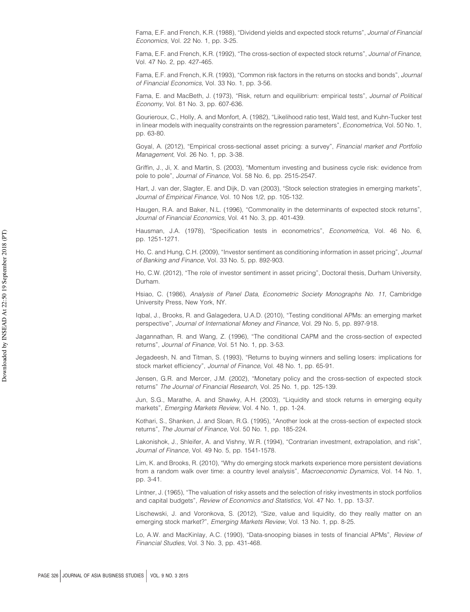Fama, E.F. and French, K.R. (1988), "Dividend yields and expected stock returns", *Journal of Financial Economics*, Vol. 22 No. 1, pp. 3-25.

Fama, E.F. and French, K.R. (1992), "The cross-section of expected stock returns", *Journal of Finance*, Vol. 47 No. 2, pp. 427-465.

Fama, E.F. and French, K.R. (1993), "Common risk factors in the returns on stocks and bonds", *Journal of Financial Economics*, Vol. 33 No. 1, pp. 3-56.

Fama, E. and MacBeth, J. (1973), "Risk, return and equilibrium: empirical tests", *Journal of Political Economy*, Vol. 81 No. 3, pp. 607-636.

Gourieroux, C., Holly, A. and Monfort, A. (1982), "Likelihood ratio test, Wald test, and Kuhn-Tucker test in linear models with inequality constraints on the regression parameters", *Econometrica*, Vol. 50 No. 1, pp. 63-80.

Goyal, A. (2012), "Empirical cross-sectional asset pricing: a survey", *Financial market and Portfolio Management*, Vol. 26 No. 1, pp. 3-38.

Griffin, J., Ji, X. and Martin, S. (2003), "Momentum investing and business cycle risk: evidence from pole to pole", *Journal of Finance*, Vol. 58 No. 6, pp. 2515-2547.

Hart, J. van der, Slagter, E. and Dijk, D. van (2003), "Stock selection strategies in emerging markets", *Journal of Empirical Finance*, Vol. 10 Nos 1/2, pp. 105-132.

Haugen, R.A. and Baker, N.L. (1996), "Commonality in the determinants of expected stock returns", *Journal of Financial Economics*, Vol. 41 No. 3, pp. 401-439.

Hausman, J.A. (1978), "Specification tests in econometrics", *Econometrica*, Vol. 46 No. 6, pp. 1251-1271.

Ho, C. and Hung, C.H. (2009), "Investor sentiment as conditioning information in asset pricing", *Journal of Banking and Finance*, Vol. 33 No. 5, pp. 892-903.

Ho, C.W. (2012), "The role of investor sentiment in asset pricing", Doctoral thesis, Durham University, Durham.

Hsiao, C. (1986), *Analysis of Panel Data, Econometric Society Monographs No. 11*, Cambridge University Press, New York, NY.

Iqbal, J., Brooks, R. and Galagedera, U.A.D. (2010), "Testing conditional APMs: an emerging market perspective", *Journal of International Money and Finance*, Vol. 29 No. 5, pp. 897-918.

Jagannathan, R. and Wang, Z. (1996), "The conditional CAPM and the cross-section of expected returns", *Journal of Finance*, Vol. 51 No. 1, pp. 3-53.

Jegadeesh, N. and Titman, S. (1993), "Returns to buying winners and selling losers: implications for stock market efficiency", *Journal of Finance*, Vol. 48 No. 1, pp. 65-91.

Jensen, G.R. and Mercer, J.M. (2002), "Monetary policy and the cross-section of expected stock returns" *The Journal of Financial Research*, Vol. 25 No. 1, pp. 125-139.

Jun, S.G., Marathe, A. and Shawky, A.H. (2003), "Liquidity and stock returns in emerging equity markets", *Emerging Markets Review*, Vol. 4 No. 1, pp. 1-24.

Kothari, S., Shanken, J. and Sloan, R.G. (1995), "Another look at the cross-section of expected stock returns", *The Journal of Finance*, Vol. 50 No. 1, pp. 185-224.

Lakonishok, J., Shleifer, A. and Vishny, W.R. (1994), "Contrarian investment, extrapolation, and risk", *Journal of Finance*, Vol. 49 No. 5, pp. 1541-1578.

Lim, K. and Brooks, R. (2010), "Why do emerging stock markets experience more persistent deviations from a random walk over time: a country level analysis", *Macroeconomic Dynamics*, Vol. 14 No. 1, pp. 3-41.

Lintner, J. (1965), "The valuation of risky assets and the selection of risky investments in stock portfolios and capital budgets", *Review of Economics and Statistics*, Vol. 47 No. 1, pp. 13-37.

Lischewski, J. and Voronkova, S. (2012), "Size, value and liquidity, do they really matter on an emerging stock market?", *Emerging Markets Review*, Vol. 13 No. 1, pp. 8-25.

Lo, A.W. and MacKinlay, A.C. (1990), "Data-snooping biases in tests of financial APMs", *Review of Financial Studies*, Vol. 3 No. 3, pp. 431-468.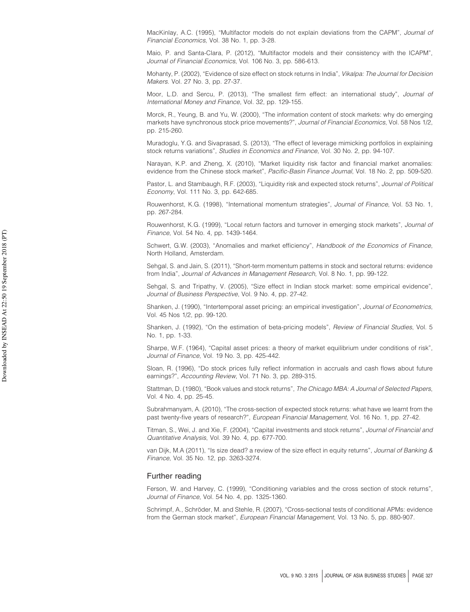MacKinlay, A.C. (1995), "Multifactor models do not explain deviations from the CAPM", *Journal of Financial Economics*, Vol. 38 No. 1, pp. 3-28.

Maio, P. and Santa-Clara, P. (2012), "Multifactor models and their consistency with the ICAPM", *Journal of Financial Economics*, Vol. 106 No. 3, pp. 586-613.

Mohanty, P. (2002), "Evidence of size effect on stock returns in India", *Vikalpa: The Journal for Decision Makers*. Vol. 27 No. 3, pp. 27-37.

Moor, L.D. and Sercu, P. (2013), "The smallest firm effect: an international study", *Journal of International Money and Finance*, Vol. 32, pp. 129-155.

Morck, R., Yeung, B. and Yu, W. (2000), "The information content of stock markets: why do emerging markets have synchronous stock price movements?", *Journal of Financial Economics*, Vol. 58 Nos 1/2, pp. 215-260.

Muradoglu, Y.G. and Sivaprasad, S. (2013), "The effect of leverage mimicking portfolios in explaining stock returns variations", *Studies in Economics and Finance*, Vol. 30 No. 2, pp. 94-107.

Narayan, K.P. and Zheng, X. (2010), "Market liquidity risk factor and financial market anomalies: evidence from the Chinese stock market", *Pacific-Basin Finance Journal*, Vol. 18 No. 2, pp. 509-520.

Pastor, L. and Stambaugh, R.F. (2003), "Liquidity risk and expected stock returns", *Journal of Political Economy*, Vol. 111 No. 3, pp. 642-685.

Rouwenhorst, K.G. (1998), "International momentum strategies", *Journal of Finance*, Vol. 53 No. 1, pp. 267-284.

Rouwenhorst, K.G. (1999), "Local return factors and turnover in emerging stock markets", *Journal of Finance*, Vol. 54 No. 4, pp. 1439-1464.

Schwert, G.W. (2003), "Anomalies and market efficiency", *Handbook of the Economics of Finance*, North Holland, Amsterdam.

Sehgal, S. and Jain, S. (2011), "Short-term momentum patterns in stock and sectoral returns: evidence from India", *Journal of Advances in Management Research*, Vol. 8 No. 1, pp. 99-122.

Sehgal, S. and Tripathy, V. (2005), "Size effect in Indian stock market: some empirical evidence", *Journal of Business Perspective*, Vol. 9 No. 4, pp. 27-42.

Shanken, J. (1990), "Intertemporal asset pricing: an empirical investigation", *Journal of Econometrics*, Vol. 45 Nos 1/2, pp. 99-120.

Shanken, J. (1992), "On the estimation of beta-pricing models", *Review of Financial Studies*, Vol. 5 No. 1, pp. 1-33.

Sharpe, W.F. (1964), "Capital asset prices: a theory of market equilibrium under conditions of risk", *Journal of Finance*, Vol. 19 No. 3, pp. 425-442.

Sloan, R. (1996), "Do stock prices fully reflect information in accruals and cash flows about future earnings?", *Accounting Review*, Vol. 71 No. 3, pp. 289-315.

Stattman, D. (1980), "Book values and stock returns", *The Chicago MBA: A Journal of Selected Papers*, Vol. 4 No. 4, pp. 25-45.

Subrahmanyam, A. (2010), "The cross-section of expected stock returns: what have we learnt from the past twenty-five years of research?", *European Financial Management*, Vol. 16 No. 1, pp. 27-42.

Titman, S., Wei, J. and Xie, F. (2004), "Capital investments and stock returns", *Journal of Financial and Quantitative Analysis*, Vol. 39 No. 4, pp. 677-700.

van Dijk, M.A (2011), "Is size dead? a review of the size effect in equity returns", *Journal of Banking & Finance*, Vol. 35 No. 12, pp. 3263-3274.

#### Further reading

Ferson, W. and Harvey, C. (1999), "Conditioning variables and the cross section of stock returns", *Journal of Finance*, Vol. 54 No. 4, pp. 1325-1360.

Schrimpf, A., Schröder, M. and Stehle, R. (2007), "Cross-sectional tests of conditional APMs: evidence from the German stock market", *European Financial Management*, Vol. 13 No. 5, pp. 880-907.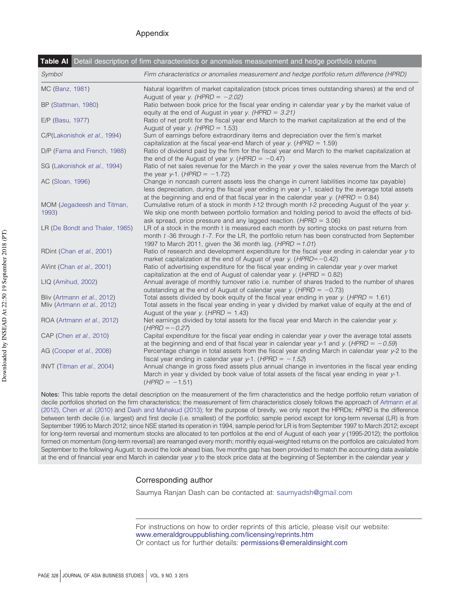|                                                            | Table AI Detail description of firm characteristics or anomalies measurement and hedge portfolio returns                                                                                                                                                                                |
|------------------------------------------------------------|-----------------------------------------------------------------------------------------------------------------------------------------------------------------------------------------------------------------------------------------------------------------------------------------|
| Symbol                                                     | Firm characteristics or anomalies measurement and hedge portfolio return difference (HPRD)                                                                                                                                                                                              |
| MC (Banz, 1981)                                            | Natural logarithm of market capitalization (stock prices times outstanding shares) at the end of<br>August of year y. (HPRD = $-2.02$ )                                                                                                                                                 |
| BP (Stattman, 1980)                                        | Ratio between book price for the fiscal year ending in calendar year y by the market value of<br>equity at the end of August in year y. (HPRD = $3.21$ )                                                                                                                                |
| E/P (Basu, 1977)                                           | Ratio of net profit for the fiscal year end March to the market capitalization at the end of the<br>August of year y. (HPRD = $1.53$ )                                                                                                                                                  |
| C/P(Lakonishok et al., 1994)                               | Sum of earnings before extraordinary items and depreciation over the firm's market<br>capitalization at the fiscal year-end March of year y. ( $HPRD = 1.59$ )                                                                                                                          |
| D/P (Fama and French, 1988)                                | Ratio of dividend paid by the firm for the fiscal year end March to the market capitalization at<br>the end of the August of year y. ( $HPRD = -0.47$ )                                                                                                                                 |
| SG (Lakonishok et al., 1994)                               | Ratio of net sales revenue for the March in the year y over the sales revenue from the March of<br>the year y-1. ( <i>HPRD</i> = $-1.72$ )                                                                                                                                              |
| AC (Sloan, 1996)                                           | Change in noncash current assets less the change in current liabilities income tax payable)<br>less depreciation, during the fiscal year ending in year y-1, scaled by the average total assets<br>at the beginning and end of that fiscal year in the calendar year y. $(HPRD = 0.84)$ |
| MOM (Jegadeesh and Titman,<br>1993)                        | Cumulative return of a stock in month t-12 through month t-2 preceding August of the year y.<br>We skip one month between portfolio formation and holding period to avoid the effects of bid-<br>ask spread, price pressure and any lagged reaction. $(HPRD = 3.06)$                    |
| LR (De Bondt and Thaler, 1985)                             | LR of a stock in the month t is measured each month by sorting stocks on past returns from<br>month t-36 through t-7. For the LR, the portfolio return has been constructed from September<br>1997 to March 2011, given the 36 month lag. ( $HPRD = 1.01$ )                             |
| RDint (Chan et al., 2001)                                  | Ratio of research and development expenditure for the fiscal year ending in calendar year y to<br>market capitalization at the end of August of year y. ( $HPRD = -0.42$ )                                                                                                              |
| AVint (Chan et al., 2001)                                  | Ratio of advertising expenditure for the fiscal year ending in calendar year y over market<br>capitalization at the end of August of calendar year y. ( $HPRD = 0.82$ )                                                                                                                 |
| LIQ (Amihud, 2002)                                         | Annual average of monthly turnover ratio i.e. number of shares traded to the number of shares<br>outstanding at the end of August of calendar year y. ( $HPRD = -0.73$ )                                                                                                                |
| Bliv (Artmann et al., 2012)<br>Mliv (Artmann et al., 2012) | Total assets divided by book equity of the fiscal year ending in year y. ( $HPRD = 1.61$ )<br>Total assets in the fiscal year ending in year y divided by market value of equity at the end of<br>August of the year y. ( $HPRD = 1.43$ )                                               |
| ROA (Artmann et al., 2012)                                 | Net earnings divided by total assets for the fiscal year end March in the calendar year y.<br>$(HPRD = -0.27)$                                                                                                                                                                          |
| CAP (Chen et al., 2010)                                    | Capital expenditure for the fiscal year ending in calendar year y over the average total assets<br>at the beginning and end of that fiscal year in calendar year y-1 and y. (HPRD = $-0.59$ )                                                                                           |
| AG (Cooper et al., 2008)                                   | Percentage change in total assets from the fiscal year ending March in calendar year y-2 to the<br>fiscal year ending in calendar year y-1. ( $HPRD = -1.52$ )                                                                                                                          |
| INVT (Titman et al., 2004)                                 | Annual change in gross fixed assets plus annual change in inventories in the fiscal year ending<br>March in year y divided by book value of total assets of the fiscal year ending in year y-1.<br>$(HPRD = -1.51)$                                                                     |

Notes: This table reports the detail description on the measurement of the firm characteristics and the hedge portfolio return variation of decile portfolios shorted on the firm characteristics; the measurement of firm characteristics closely follows the approach of Artmann *et al.* (2012), Chen *et al.* (2010) and Dash and Mahakud (2013); for the purpose of brevity, we only report the HPRDs; *HPRD* is the difference between tenth decile (i.e. largest) and first decile (i.e. smallest) of the portfolio; sample period except for long-term reversal (LR) is from September 1995 to March 2012; since NSE started its operation in 1994, sample period for LR is from September 1997 to March 2012; except for long-term reversal and momentum stocks are allocated to ten portfolios at the end of August of each year *y* (1995-2012); the portfolios formed on momentum (long-term reversal) are rearranged every month; monthly equal-weighted returns on the portfolios are calculated from September to the following August; to avoid the look ahead bias, five months gap has been provided to match the accounting data available at the end of financial year end March in calendar year *y* to the stock price data at the beginning of September in the calendar year *y*

#### Corresponding author

Saumya Ranjan Dash can be contacted at: [saumyadsh@gmail.com](mailto:saumyadsh@gmail.com)

For instructions on how to order reprints of this article, please visit our website: www.emeraldgrouppublishing.com/licensing/reprints.htm Or contact us for further details: [permissions@emeraldinsight.com](mailto:permissions@emeraldinsight.com)